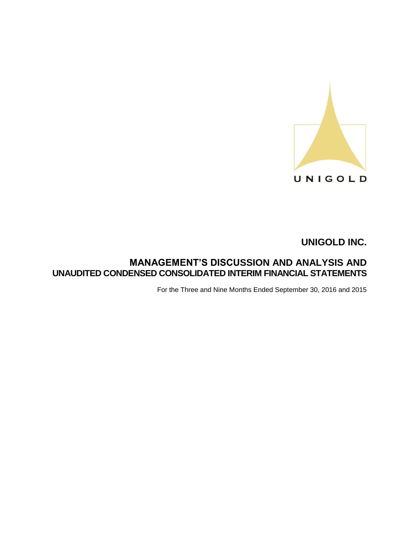

# **MANAGEMENT'S DISCUSSION AND ANALYSIS AND UNAUDITED CONDENSED CONSOLIDATED INTERIM FINANCIAL STATEMENTS**

For the Three and Nine Months Ended September 30, 2016 and 2015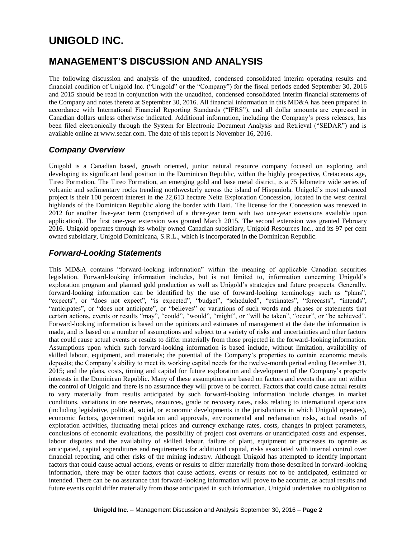# **MANAGEMENT'S DISCUSSION AND ANALYSIS**

The following discussion and analysis of the unaudited, condensed consolidated interim operating results and financial condition of Unigold Inc. ("Unigold" or the "Company") for the fiscal periods ended September 30, 2016 and 2015 should be read in conjunction with the unaudited, condensed consolidated interim financial statements of the Company and notes thereto at September 30, 2016. All financial information in this MD&A has been prepared in accordance with International Financial Reporting Standards ("IFRS"), and all dollar amounts are expressed in Canadian dollars unless otherwise indicated. Additional information, including the Company's press releases, has been filed electronically through the System for Electronic Document Analysis and Retrieval ("SEDAR") and is available online at www.sedar.com. The date of this report is November 16, 2016.

# *Company Overview*

Unigold is a Canadian based, growth oriented, junior natural resource company focused on exploring and developing its significant land position in the Dominican Republic, within the highly prospective, Cretaceous age, Tireo Formation. The Tireo Formation, an emerging gold and base metal district, is a 75 kilometre wide series of volcanic and sedimentary rocks trending northwesterly across the island of Hispaniola. Unigold's most advanced project is their 100 percent interest in the 22,613 hectare Neita Exploration Concession, located in the west central highlands of the Dominican Republic along the border with Haiti. The license for the Concession was renewed in 2012 for another five-year term (comprised of a three-year term with two one-year extensions available upon application). The first one-year extension was granted March 2015. The second extension was granted February 2016. Unigold operates through its wholly owned Canadian subsidiary, Unigold Resources Inc., and its 97 per cent owned subsidiary, Unigold Dominicana, S.R.L., which is incorporated in the Dominican Republic.

### *Forward-Looking Statements*

This MD&A contains "forward-looking information" within the meaning of applicable Canadian securities legislation. Forward-looking information includes, but is not limited to, information concerning Unigold's exploration program and planned gold production as well as Unigold's strategies and future prospects. Generally, forward-looking information can be identified by the use of forward-looking terminology such as "plans", "expects", or "does not expect", "is expected", "budget", "scheduled", "estimates", "forecasts", "intends", "anticipates", or "does not anticipate", or "believes" or variations of such words and phrases or statements that certain actions, events or results "may", "could", "would", "might", or "will be taken", "occur", or "be achieved". Forward-looking information is based on the opinions and estimates of management at the date the information is made, and is based on a number of assumptions and subject to a variety of risks and uncertainties and other factors that could cause actual events or results to differ materially from those projected in the forward-looking information. Assumptions upon which such forward-looking information is based include, without limitation, availability of skilled labour, equipment, and materials; the potential of the Company's properties to contain economic metals deposits; the Company's ability to meet its working capital needs for the twelve-month period ending December 31, 2015; and the plans, costs, timing and capital for future exploration and development of the Company's property interests in the Dominican Republic. Many of these assumptions are based on factors and events that are not within the control of Unigold and there is no assurance they will prove to be correct. Factors that could cause actual results to vary materially from results anticipated by such forward-looking information include changes in market conditions, variations in ore reserves, resources, grade or recovery rates, risks relating to international operations (including legislative, political, social, or economic developments in the jurisdictions in which Unigold operates), economic factors, government regulation and approvals, environmental and reclamation risks, actual results of exploration activities, fluctuating metal prices and currency exchange rates, costs, changes in project parameters, conclusions of economic evaluations, the possibility of project cost overruns or unanticipated costs and expenses, labour disputes and the availability of skilled labour, failure of plant, equipment or processes to operate as anticipated, capital expenditures and requirements for additional capital, risks associated with internal control over financial reporting, and other risks of the mining industry. Although Unigold has attempted to identify important factors that could cause actual actions, events or results to differ materially from those described in forward-looking information, there may be other factors that cause actions, events or results not to be anticipated, estimated or intended. There can be no assurance that forward-looking information will prove to be accurate, as actual results and future events could differ materially from those anticipated in such information. Unigold undertakes no obligation to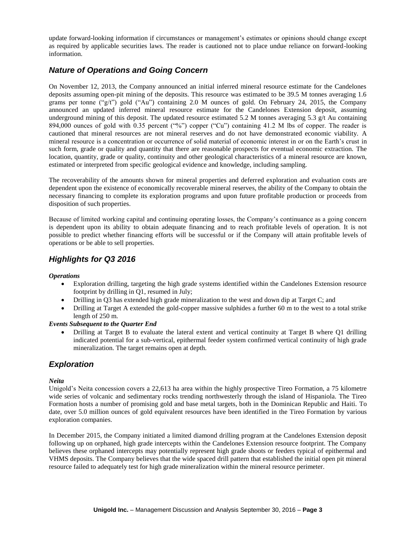update forward-looking information if circumstances or management's estimates or opinions should change except as required by applicable securities laws. The reader is cautioned not to place undue reliance on forward-looking information.

# *Nature of Operations and Going Concern*

On November 12, 2013, the Company announced an initial inferred mineral resource estimate for the Candelones deposits assuming open-pit mining of the deposits. This resource was estimated to be 39.5 M tonnes averaging 1.6 grams per tonne ("g/t") gold ("Au") containing 2.0 M ounces of gold. On February 24, 2015, the Company announced an updated inferred mineral resource estimate for the Candelones Extension deposit, assuming underground mining of this deposit. The updated resource estimated 5.2 M tonnes averaging 5.3  $g/t$  Au containing 894,000 ounces of gold with 0.35 percent ("%") copper ("Cu") containing 41.2 M lbs of copper. The reader is cautioned that mineral resources are not mineral reserves and do not have demonstrated economic viability. A mineral resource is a concentration or occurrence of solid material of economic interest in or on the Earth's crust in such form, grade or quality and quantity that there are reasonable prospects for eventual economic extraction. The location, quantity, grade or quality, continuity and other geological characteristics of a mineral resource are known, estimated or interpreted from specific geological evidence and knowledge, including sampling.

The recoverability of the amounts shown for mineral properties and deferred exploration and evaluation costs are dependent upon the existence of economically recoverable mineral reserves, the ability of the Company to obtain the necessary financing to complete its exploration programs and upon future profitable production or proceeds from disposition of such properties.

Because of limited working capital and continuing operating losses, the Company's continuance as a going concern is dependent upon its ability to obtain adequate financing and to reach profitable levels of operation. It is not possible to predict whether financing efforts will be successful or if the Company will attain profitable levels of operations or be able to sell properties.

# *Highlights for Q3 2016*

### *Operations*

- Exploration drilling, targeting the high grade systems identified within the Candelones Extension resource footprint by drilling in Q1, resumed in July;
- Drilling in Q3 has extended high grade mineralization to the west and down dip at Target C; and
- Drilling at Target A extended the gold-copper massive sulphides a further 60 m to the west to a total strike length of 250 m.

### *Events Subsequent to the Quarter End*

 Drilling at Target B to evaluate the lateral extent and vertical continuity at Target B where Q1 drilling indicated potential for a sub-vertical, epithermal feeder system confirmed vertical continuity of high grade mineralization. The target remains open at depth.

# *Exploration*

### *Neita*

Unigold's Neita concession covers a 22,613 ha area within the highly prospective Tireo Formation, a 75 kilometre wide series of volcanic and sedimentary rocks trending northwesterly through the island of Hispaniola. The Tireo Formation hosts a number of promising gold and base metal targets, both in the Dominican Republic and Haiti. To date, over 5.0 million ounces of gold equivalent resources have been identified in the Tireo Formation by various exploration companies.

In December 2015, the Company initiated a limited diamond drilling program at the Candelones Extension deposit following up on orphaned, high grade intercepts within the Candelones Extension resource footprint. The Company believes these orphaned intercepts may potentially represent high grade shoots or feeders typical of epithermal and VHMS deposits. The Company believes that the wide spaced drill pattern that established the initial open pit mineral resource failed to adequately test for high grade mineralization within the mineral resource perimeter.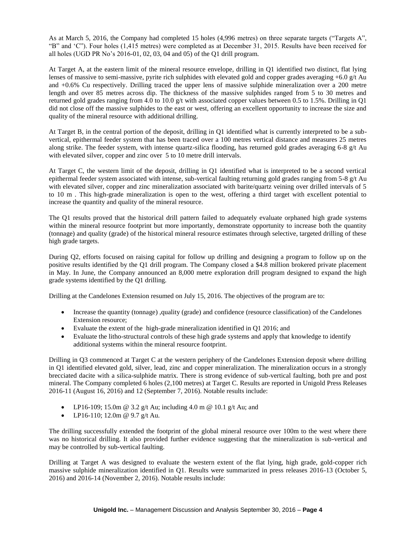As at March 5, 2016, the Company had completed 15 holes (4,996 metres) on three separate targets ("Targets A", "B" and 'C"). Four holes (1,415 metres) were completed as at December 31, 2015. Results have been received for all holes (UGD PR No's 2016-01, 02, 03, 04 and 05) of the Q1 drill program.

At Target A, at the eastern limit of the mineral resource envelope, drilling in Q1 identified two distinct, flat lying lenses of massive to semi-massive, pyrite rich sulphides with elevated gold and copper grades averaging  $+6.0$  g/t Au and +0.6% Cu respectively. Drilling traced the upper lens of massive sulphide mineralization over a 200 metre length and over 85 metres across dip. The thickness of the massive sulphides ranged from 5 to 30 metres and returned gold grades ranging from 4.0 to 10.0 g/t with associated copper values between 0.5 to 1.5%. Drilling in Q1 did not close off the massive sulphides to the east or west, offering an excellent opportunity to increase the size and quality of the mineral resource with additional drilling.

At Target B, in the central portion of the deposit, drilling in Q1 identified what is currently interpreted to be a subvertical, epithermal feeder system that has been traced over a 100 metres vertical distance and measures 25 metres along strike. The feeder system, with intense quartz-silica flooding, has returned gold grades averaging 6-8 g/t Au with elevated silver, copper and zinc over 5 to 10 metre drill intervals.

At Target C, the western limit of the deposit, drilling in Q1 identified what is interpreted to be a second vertical epithermal feeder system associated with intense, sub-vertical faulting returning gold grades ranging from  $5-8$  g/t Au with elevated silver, copper and zinc mineralization associated with barite/quartz veining over drilled intervals of 5 to 10 m . This high-grade mineralization is open to the west, offering a third target with excellent potential to increase the quantity and quality of the mineral resource.

The Q1 results proved that the historical drill pattern failed to adequately evaluate orphaned high grade systems within the mineral resource footprint but more importantly, demonstrate opportunity to increase both the quantity (tonnage) and quality (grade) of the historical mineral resource estimates through selective, targeted drilling of these high grade targets.

During Q2, efforts focused on raising capital for follow up drilling and designing a program to follow up on the positive results identified by the Q1 drill program. The Company closed a \$4.8 million brokered private placement in May. In June, the Company announced an 8,000 metre exploration drill program designed to expand the high grade systems identified by the Q1 drilling.

Drilling at the Candelones Extension resumed on July 15, 2016. The objectives of the program are to:

- Increase the quantity (tonnage) ,quality (grade) and confidence (resource classification) of the Candelones Extension resource;
- Evaluate the extent of the high-grade mineralization identified in Q1 2016; and
- Evaluate the litho-structural controls of these high grade systems and apply that knowledge to identify additional systems within the mineral resource footprint.

Drilling in Q3 commenced at Target C at the western periphery of the Candelones Extension deposit where drilling in Q1 identified elevated gold, silver, lead, zinc and copper mineralization. The mineralization occurs in a strongly brecciated dacite with a silica-sulphide matrix. There is strong evidence of sub-vertical faulting, both pre and post mineral. The Company completed 6 holes (2,100 metres) at Target C. Results are reported in Unigold Press Releases 2016-11 (August 16, 2016) and 12 (September 7, 2016). Notable results include:

- LP16-109; 15.0m @ 3.2 g/t Au; including 4.0 m @ 10.1 g/t Au; and
- LP16-110; 12.0m @ 9.7 g/t Au.

The drilling successfully extended the footprint of the global mineral resource over 100m to the west where there was no historical drilling. It also provided further evidence suggesting that the mineralization is sub-vertical and may be controlled by sub-vertical faulting.

Drilling at Target A was designed to evaluate the western extent of the flat lying, high grade, gold-copper rich massive sulphide mineralization identified in Q1. Results were summarized in press releases 2016-13 (October 5, 2016) and 2016-14 (November 2, 2016). Notable results include: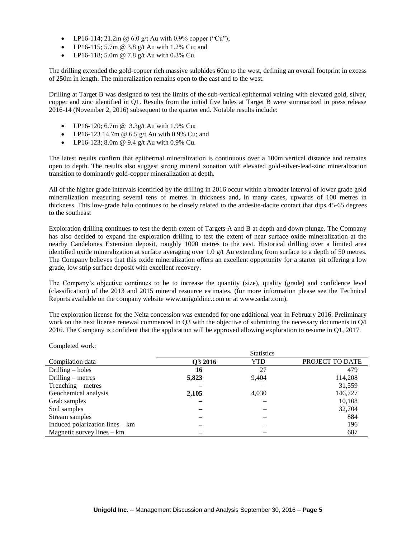- LP16-114; 21.2m @ 6.0 g/t Au with 0.9% copper ("Cu");
- LP16-115; 5.7m  $\omega$  3.8 g/t Au with 1.2% Cu; and
- LP16-118; 5.0m @ 7.8 g/t Au with 0.3% Cu.

The drilling extended the gold-copper rich massive sulphides 60m to the west, defining an overall footprint in excess of 250m in length. The mineralization remains open to the east and to the west.

Drilling at Target B was designed to test the limits of the sub-vertical epithermal veining with elevated gold, silver, copper and zinc identified in Q1. Results from the initial five holes at Target B were summarized in press release 2016-14 (November 2, 2016) subsequent to the quarter end. Notable results include:

- LP16-120; 6.7m @ 3.3g/t Au with 1.9% Cu;
- LP16-123 14.7m  $\omega$  6.5 g/t Au with 0.9% Cu; and
- LP16-123; 8.0m @ 9.4 g/t Au with 0.9% Cu.

The latest results confirm that epithermal mineralization is continuous over a 100m vertical distance and remains open to depth. The results also suggest strong mineral zonation with elevated gold-silver-lead-zinc mineralization transition to dominantly gold-copper mineralization at depth.

All of the higher grade intervals identified by the drilling in 2016 occur within a broader interval of lower grade gold mineralization measuring several tens of metres in thickness and, in many cases, upwards of 100 metres in thickness. This low-grade halo continues to be closely related to the andesite-dacite contact that dips 45-65 degrees to the southeast

Exploration drilling continues to test the depth extent of Targets A and B at depth and down plunge. The Company has also decided to expand the exploration drilling to test the extent of near surface oxide mineralization at the nearby Candelones Extension deposit, roughly 1000 metres to the east. Historical drilling over a limited area identified oxide mineralization at surface averaging over 1.0 g/t Au extending from surface to a depth of 50 metres. The Company believes that this oxide mineralization offers an excellent opportunity for a starter pit offering a low grade, low strip surface deposit with excellent recovery.

The Company's objective continues to be to increase the quantity (size), quality (grade) and confidence level (classification) of the 2013 and 2015 mineral resource estimates. (for more information please see the Technical Reports available on the company website www.unigoldinc.com or at www.sedar.com).

The exploration license for the Neita concession was extended for one additional year in February 2016. Preliminary work on the next license renewal commenced in Q3 with the objective of submitting the necessary documents in Q4 2016. The Company is confident that the application will be approved allowing exploration to resume in Q1, 2017.

Completed work:

|                                 |         | <b>Statistics</b> |                 |
|---------------------------------|---------|-------------------|-----------------|
| Compilation data                | Q3 2016 | YTD               | PROJECT TO DATE |
| Drilling $-$ holes              | 16      | 27                | 479             |
| Drilling $-$ metres             | 5,823   | 9,404             | 114,208         |
| Trenching – metres              |         |                   | 31,559          |
| Geochemical analysis            | 2,105   | 4,030             | 146,727         |
| Grab samples                    |         |                   | 10,108          |
| Soil samples                    |         |                   | 32,704          |
| Stream samples                  |         |                   | 884             |
| Induced polarization lines – km |         |                   | 196             |
| Magnetic survey lines $-$ km    |         |                   | 687             |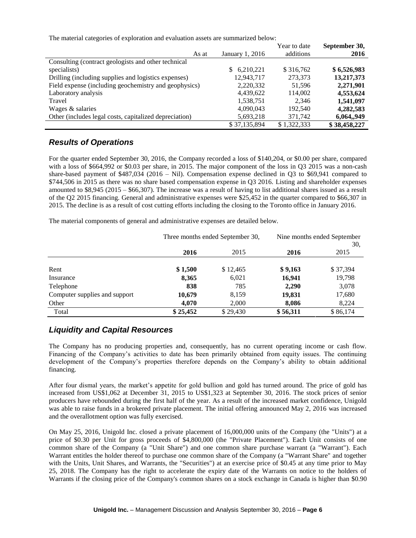The material categories of exploration and evaluation assets are summarized below:

|                                                        |                 | Year to date | September 30, |
|--------------------------------------------------------|-----------------|--------------|---------------|
| As at                                                  | January 1, 2016 | additions    | 2016          |
| Consulting (contract geologists and other technical    |                 |              |               |
| specialists)                                           | 6,210,221<br>S. | \$316,762    | \$6,526,983   |
| Drilling (including supplies and logistics expenses)   | 12,943,717      | 273,373      | 13,217,373    |
| Field expense (including geochemistry and geophysics)  | 2,220,332       | 51.596       | 2,271,901     |
| Laboratory analysis                                    | 4,439,622       | 114,002      | 4,553,624     |
| Travel                                                 | 1,538,751       | 2.346        | 1,541,097     |
| Wages & salaries                                       | 4,090,043       | 192.540      | 4,282,583     |
| Other (includes legal costs, capitalized depreciation) | 5,693,218       | 371,742      | 6,064,,949    |
|                                                        | \$37,135,894    | \$1.322,333  | \$38,458,227  |

### *Results of Operations*

For the quarter ended September 30, 2016, the Company recorded a loss of \$140,204, or \$0.00 per share, compared with a loss of \$664,992 or \$0.03 per share, in 2015. The major component of the loss in Q3 2015 was a non-cash share-based payment of \$487,034 (2016 – Nil). Compensation expense declined in Q3 to \$69,941 compared to \$744,506 in 2015 as there was no share based compensation expense in Q3 2016. Listing and shareholder expenses amounted to \$8,945 (2015 – \$66,307). The increase was a result of having to list additional shares issued as a result of the Q2 2015 financing. General and administrative expenses were \$25,452 in the quarter compared to \$66,307 in 2015. The decline is as a result of cost cutting efforts including the closing to the Toronto office in January 2016.

The material components of general and administrative expenses are detailed below.

|                               | Three months ended September 30, |          | Nine months ended September<br>30, |          |
|-------------------------------|----------------------------------|----------|------------------------------------|----------|
|                               | 2016                             | 2015     | 2016                               | 2015     |
| Rent                          | \$1,500                          | \$12,465 | \$9,163                            | \$37,394 |
| Insurance                     | 8,365                            | 6,021    | 16,941                             | 19,798   |
| Telephone                     | 838                              | 785      | 2,290                              | 3,078    |
| Computer supplies and support | 10,679                           | 8,159    | 19,831                             | 17,680   |
| Other                         | 4,070                            | 2,000    | 8,086                              | 8,224    |
| Total                         | \$25,452                         | \$29,430 | \$56,311                           | \$86,174 |

### *Liquidity and Capital Resources*

The Company has no producing properties and, consequently, has no current operating income or cash flow. Financing of the Company's activities to date has been primarily obtained from equity issues. The continuing development of the Company's properties therefore depends on the Company's ability to obtain additional financing.

After four dismal years, the market's appetite for gold bullion and gold has turned around. The price of gold has increased from US\$1,062 at December 31, 2015 to US\$1,323 at September 30, 2016. The stock prices of senior producers have rebounded during the first half of the year. As a result of the increased market confidence, Unigold was able to raise funds in a brokered private placement. The initial offering announced May 2, 2016 was increased and the overallotment option was fully exercised.

On May 25, 2016, Unigold Inc. closed a private placement of 16,000,000 units of the Company (the "Units") at a price of \$0.30 per Unit for gross proceeds of \$4,800,000 (the "Private Placement"). Each Unit consists of one common share of the Company (a "Unit Share") and one common share purchase warrant (a "Warrant"). Each Warrant entitles the holder thereof to purchase one common share of the Company (a "Warrant Share" and together with the Units, Unit Shares, and Warrants, the "Securities") at an exercise price of \$0.45 at any time prior to May 25, 2018. The Company has the right to accelerate the expiry date of the Warrants on notice to the holders of Warrants if the closing price of the Company's common shares on a stock exchange in Canada is higher than \$0.90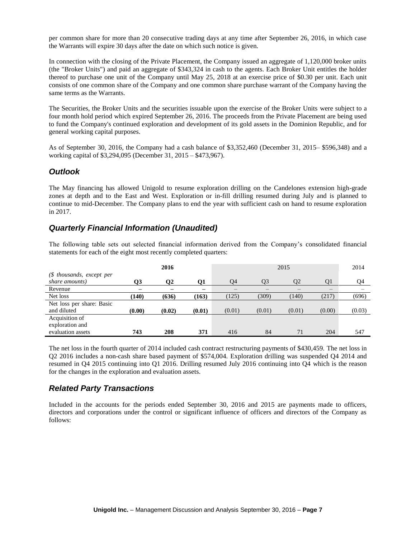per common share for more than 20 consecutive trading days at any time after September 26, 2016, in which case the Warrants will expire 30 days after the date on which such notice is given.

In connection with the closing of the Private Placement, the Company issued an aggregate of 1,120,000 broker units (the "Broker Units") and paid an aggregate of \$343,324 in cash to the agents. Each Broker Unit entitles the holder thereof to purchase one unit of the Company until May 25, 2018 at an exercise price of \$0.30 per unit. Each unit consists of one common share of the Company and one common share purchase warrant of the Company having the same terms as the Warrants.

The Securities, the Broker Units and the securities issuable upon the exercise of the Broker Units were subject to a four month hold period which expired September 26, 2016. The proceeds from the Private Placement are being used to fund the Company's continued exploration and development of its gold assets in the Dominion Republic, and for general working capital purposes.

As of September 30, 2016, the Company had a cash balance of \$3,352,460 (December 31, 2015– \$596,348) and a working capital of \$3,294,095 (December 31, 2015 – \$473,967).

### *Outlook*

The May financing has allowed Unigold to resume exploration drilling on the Candelones extension high-grade zones at depth and to the East and West. Exploration or in-fill drilling resumed during July and is planned to continue to mid-December. The Company plans to end the year with sufficient cash on hand to resume exploration in 2017.

### *Quarterly Financial Information (Unaudited)*

The following table sets out selected financial information derived from the Company's consolidated financial statements for each of the eight most recently completed quarters:

|                                                        |        | 2016   |        |        |                | 2015           |        | 2014   |
|--------------------------------------------------------|--------|--------|--------|--------|----------------|----------------|--------|--------|
| $$$ thousands, except per<br>share amounts)            | 73     | O2     | О1     | Ο4     | O <sub>3</sub> | O <sub>2</sub> | O1     | O4     |
| Revenue                                                |        |        | —      |        |                |                | -      |        |
| Net loss                                               | (140)  | (636)  | (163)  | (125)  | (309)          | (140)          | (217)  | (696)  |
| Net loss per share: Basic<br>and diluted               | (0.00) | (0.02) | (0.01) | (0.01) | (0.01)         | (0.01)         | (0.00) | (0.03) |
| Acquisition of<br>exploration and<br>evaluation assets | 743    | 208    | 371    | 416    | 84             | 71             | 204    | 547    |
|                                                        |        |        |        |        |                |                |        |        |

The net loss in the fourth quarter of 2014 included cash contract restructuring payments of \$430,459. The net loss in Q2 2016 includes a non-cash share based payment of \$574,004. Exploration drilling was suspended Q4 2014 and resumed in Q4 2015 continuing into Q1 2016. Drilling resumed July 2016 continuing into Q4 which is the reason for the changes in the exploration and evaluation assets.

# *Related Party Transactions*

Included in the accounts for the periods ended September 30, 2016 and 2015 are payments made to officers, directors and corporations under the control or significant influence of officers and directors of the Company as follows: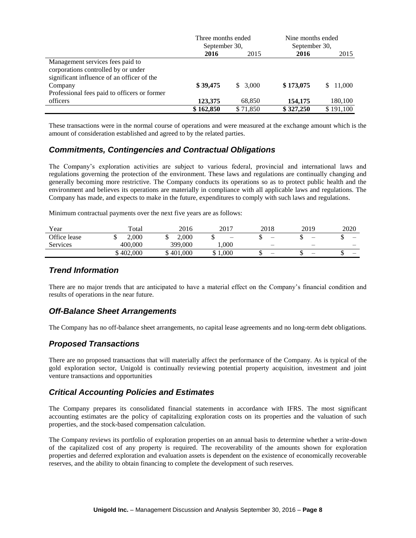|                                              | Three months ended |          | Nine months ended |           |
|----------------------------------------------|--------------------|----------|-------------------|-----------|
|                                              | September 30,      |          | September 30,     |           |
|                                              | 2016               | 2015     | 2016              | 2015      |
| Management services fees paid to             |                    |          |                   |           |
| corporations controlled by or under          |                    |          |                   |           |
| significant influence of an officer of the   |                    |          |                   |           |
| Company                                      | \$39,475           | \$3,000  | \$173,075         | \$11,000  |
| Professional fees paid to officers or former |                    |          |                   |           |
| officers                                     | 123,375            | 68,850   | 154,175           | 180,100   |
|                                              | \$162.850          | \$71,850 | \$327,250         | \$191,100 |

These transactions were in the normal course of operations and were measured at the exchange amount which is the amount of consideration established and agreed to by the related parties.

### *Commitments, Contingencies and Contractual Obligations*

The Company's exploration activities are subject to various federal, provincial and international laws and regulations governing the protection of the environment. These laws and regulations are continually changing and generally becoming more restrictive. The Company conducts its operations so as to protect public health and the environment and believes its operations are materially in compliance with all applicable laws and regulations. The Company has made, and expects to make in the future, expenditures to comply with such laws and regulations.

Minimum contractual payments over the next five years are as follows:

| Year         | Total     | 2016    | 2017                     | 2018                     | 2019                     | 2020                     |
|--------------|-----------|---------|--------------------------|--------------------------|--------------------------|--------------------------|
| Office lease | 2.000     | 2.000   | $\overline{\phantom{0}}$ | $\overline{\phantom{0}}$ | $\overline{\phantom{0}}$ | $\overline{\phantom{m}}$ |
| Services     | 400,000   | 399,000 | 1.000                    | $\overline{\phantom{m}}$ |                          |                          |
|              | \$402,000 | 401.000 | 1.000                    |                          | -                        | $\overline{\phantom{m}}$ |

### *Trend Information*

There are no major trends that are anticipated to have a material effect on the Company's financial condition and results of operations in the near future.

### *Off-Balance Sheet Arrangements*

The Company has no off-balance sheet arrangements, no capital lease agreements and no long-term debt obligations.

# *Proposed Transactions*

There are no proposed transactions that will materially affect the performance of the Company. As is typical of the gold exploration sector, Unigold is continually reviewing potential property acquisition, investment and joint venture transactions and opportunities

### *Critical Accounting Policies and Estimates*

The Company prepares its consolidated financial statements in accordance with IFRS. The most significant accounting estimates are the policy of capitalizing exploration costs on its properties and the valuation of such properties, and the stock-based compensation calculation.

The Company reviews its portfolio of exploration properties on an annual basis to determine whether a write-down of the capitalized cost of any property is required. The recoverability of the amounts shown for exploration properties and deferred exploration and evaluation assets is dependent on the existence of economically recoverable reserves, and the ability to obtain financing to complete the development of such reserves.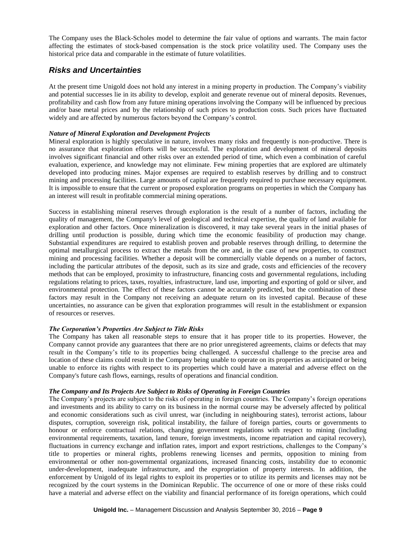The Company uses the Black-Scholes model to determine the fair value of options and warrants. The main factor affecting the estimates of stock-based compensation is the stock price volatility used. The Company uses the historical price data and comparable in the estimate of future volatilities.

### *Risks and Uncertainties*

At the present time Unigold does not hold any interest in a mining property in production. The Company's viability and potential successes lie in its ability to develop, exploit and generate revenue out of mineral deposits. Revenues, profitability and cash flow from any future mining operations involving the Company will be influenced by precious and/or base metal prices and by the relationship of such prices to production costs. Such prices have fluctuated widely and are affected by numerous factors beyond the Company's control.

### *Nature of Mineral Exploration and Development Projects*

Mineral exploration is highly speculative in nature, involves many risks and frequently is non-productive. There is no assurance that exploration efforts will be successful. The exploration and development of mineral deposits involves significant financial and other risks over an extended period of time, which even a combination of careful evaluation, experience, and knowledge may not eliminate. Few mining properties that are explored are ultimately developed into producing mines. Major expenses are required to establish reserves by drilling and to construct mining and processing facilities. Large amounts of capital are frequently required to purchase necessary equipment. It is impossible to ensure that the current or proposed exploration programs on properties in which the Company has an interest will result in profitable commercial mining operations.

Success in establishing mineral reserves through exploration is the result of a number of factors, including the quality of management, the Company's level of geological and technical expertise, the quality of land available for exploration and other factors. Once mineralization is discovered, it may take several years in the initial phases of drilling until production is possible, during which time the economic feasibility of production may change. Substantial expenditures are required to establish proven and probable reserves through drilling, to determine the optimal metallurgical process to extract the metals from the ore and, in the case of new properties, to construct mining and processing facilities. Whether a deposit will be commercially viable depends on a number of factors, including the particular attributes of the deposit, such as its size and grade, costs and efficiencies of the recovery methods that can be employed, proximity to infrastructure, financing costs and governmental regulations, including regulations relating to prices, taxes, royalties, infrastructure, land use, importing and exporting of gold or silver, and environmental protection. The effect of these factors cannot be accurately predicted, but the combination of these factors may result in the Company not receiving an adequate return on its invested capital. Because of these uncertainties, no assurance can be given that exploration programmes will result in the establishment or expansion of resources or reserves.

### *The Corporation's Properties Are Subject to Title Risks*

The Company has taken all reasonable steps to ensure that it has proper title to its properties. However, the Company cannot provide any guarantees that there are no prior unregistered agreements, claims or defects that may result in the Company's title to its properties being challenged. A successful challenge to the precise area and location of these claims could result in the Company being unable to operate on its properties as anticipated or being unable to enforce its rights with respect to its properties which could have a material and adverse effect on the Company's future cash flows, earnings, results of operations and financial condition.

### *The Company and Its Projects Are Subject to Risks of Operating in Foreign Countries*

The Company's projects are subject to the risks of operating in foreign countries. The Company's foreign operations and investments and its ability to carry on its business in the normal course may be adversely affected by political and economic considerations such as civil unrest, war (including in neighbouring states), terrorist actions, labour disputes, corruption, sovereign risk, political instability, the failure of foreign parties, courts or governments to honour or enforce contractual relations, changing government regulations with respect to mining (including environmental requirements, taxation, land tenure, foreign investments, income repatriation and capital recovery), fluctuations in currency exchange and inflation rates, import and export restrictions, challenges to the Company's title to properties or mineral rights, problems renewing licenses and permits, opposition to mining from environmental or other non-governmental organizations, increased financing costs, instability due to economic under-development, inadequate infrastructure, and the expropriation of property interests. In addition, the enforcement by Unigold of its legal rights to exploit its properties or to utilize its permits and licenses may not be recognized by the court systems in the Dominican Republic. The occurrence of one or more of these risks could have a material and adverse effect on the viability and financial performance of its foreign operations, which could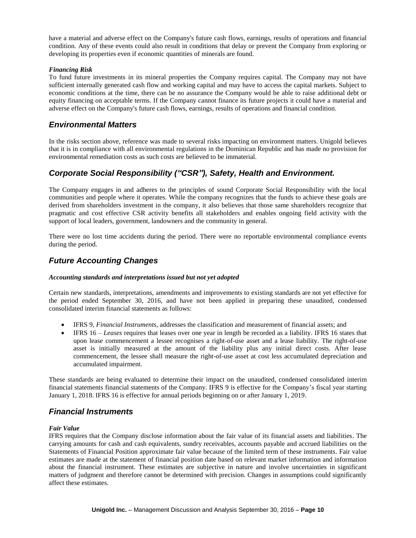have a material and adverse effect on the Company's future cash flows, earnings, results of operations and financial condition. Any of these events could also result in conditions that delay or prevent the Company from exploring or developing its properties even if economic quantities of minerals are found.

#### *Financing Risk*

To fund future investments in its mineral properties the Company requires capital. The Company may not have sufficient internally generated cash flow and working capital and may have to access the capital markets. Subject to economic conditions at the time, there can be no assurance the Company would be able to raise additional debt or equity financing on acceptable terms. If the Company cannot finance its future projects it could have a material and adverse effect on the Company's future cash flows, earnings, results of operations and financial condition.

### *Environmental Matters*

In the risks section above, reference was made to several risks impacting on environment matters. Unigold believes that it is in compliance with all environmental regulations in the Dominican Republic and has made no provision for environmental remediation costs as such costs are believed to be immaterial.

# *Corporate Social Responsibility ("CSR"), Safety, Health and Environment.*

The Company engages in and adheres to the principles of sound Corporate Social Responsibility with the local communities and people where it operates. While the company recognizes that the funds to achieve these goals are derived from shareholders investment in the company, it also believes that those same shareholders recognize that pragmatic and cost effective CSR activity benefits all stakeholders and enables ongoing field activity with the support of local leaders, government, landowners and the community in general.

There were no lost time accidents during the period. There were no reportable environmental compliance events during the period.

### *Future Accounting Changes*

#### *Accounting standards and interpretations issued but not yet adopted*

Certain new standards, interpretations, amendments and improvements to existing standards are not yet effective for the period ended September 30, 2016, and have not been applied in preparing these unaudited, condensed consolidated interim financial statements as follows:

- IFRS 9, *Financial Instruments*, addresses the classification and measurement of financial assets; and
- IFRS 16 *Leases* requires that leases over one year in length be recorded as a liability. IFRS 16 states that upon lease commencement a lessee recognises a right-of-use asset and a lease liability. The right-of-use asset is initially measured at the amount of the liability plus any initial direct costs. After lease commencement, the lessee shall measure the right-of-use asset at cost less accumulated depreciation and accumulated impairment.

These standards are being evaluated to determine their impact on the unaudited, condensed consolidated interim financial statements financial statements of the Company. IFRS 9 is effective for the Company's fiscal year starting January 1, 2018. IFRS 16 is effective for annual periods beginning on or after January 1, 2019.

### *Financial Instruments*

### *Fair Value*

IFRS requires that the Company disclose information about the fair value of its financial assets and liabilities. The carrying amounts for cash and cash equivalents, sundry receivables, accounts payable and accrued liabilities on the Statements of Financial Position approximate fair value because of the limited term of these instruments. Fair value estimates are made at the statement of financial position date based on relevant market information and information about the financial instrument. These estimates are subjective in nature and involve uncertainties in significant matters of judgment and therefore cannot be determined with precision. Changes in assumptions could significantly affect these estimates.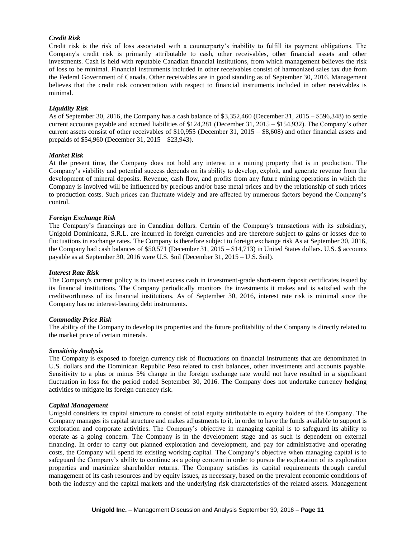#### *Credit Risk*

Credit risk is the risk of loss associated with a counterparty's inability to fulfill its payment obligations. The Company's credit risk is primarily attributable to cash, other receivables, other financial assets and other investments. Cash is held with reputable Canadian financial institutions, from which management believes the risk of loss to be minimal. Financial instruments included in other receivables consist of harmonized sales tax due from the Federal Government of Canada. Other receivables are in good standing as of September 30, 2016. Management believes that the credit risk concentration with respect to financial instruments included in other receivables is minimal.

#### *Liquidity Risk*

As of September 30, 2016, the Company has a cash balance of \$3,352,460 (December 31, 2015 – \$596,348) to settle current accounts payable and accrued liabilities of \$124,281 (December 31, 2015 – \$154,932). The Company's other current assets consist of other receivables of \$10,955 (December 31, 2015 – \$8,608) and other financial assets and prepaids of \$54,960 (December 31, 2015 – \$23,943).

#### *Market Risk*

At the present time, the Company does not hold any interest in a mining property that is in production. The Company's viability and potential success depends on its ability to develop, exploit, and generate revenue from the development of mineral deposits. Revenue, cash flow, and profits from any future mining operations in which the Company is involved will be influenced by precious and/or base metal prices and by the relationship of such prices to production costs. Such prices can fluctuate widely and are affected by numerous factors beyond the Company's control.

#### *Foreign Exchange Risk*

The Company's financings are in Canadian dollars. Certain of the Company's transactions with its subsidiary, Unigold Dominicana, S.R.L. are incurred in foreign currencies and are therefore subject to gains or losses due to fluctuations in exchange rates. The Company is therefore subject to foreign exchange risk As at September 30, 2016, the Company had cash balances of \$50,571 (December 31, 2015 – \$14,713) in United States dollars. U.S. \$ accounts payable as at September 30, 2016 were U.S. \$nil (December 31, 2015 – U.S. \$nil).

#### *Interest Rate Risk*

The Company's current policy is to invest excess cash in investment-grade short-term deposit certificates issued by its financial institutions. The Company periodically monitors the investments it makes and is satisfied with the creditworthiness of its financial institutions. As of September 30, 2016, interest rate risk is minimal since the Company has no interest-bearing debt instruments.

#### *Commodity Price Risk*

The ability of the Company to develop its properties and the future profitability of the Company is directly related to the market price of certain minerals.

#### *Sensitivity Analysis*

The Company is exposed to foreign currency risk of fluctuations on financial instruments that are denominated in U.S. dollars and the Dominican Republic Peso related to cash balances, other investments and accounts payable. Sensitivity to a plus or minus 5% change in the foreign exchange rate would not have resulted in a significant fluctuation in loss for the period ended September 30, 2016. The Company does not undertake currency hedging activities to mitigate its foreign currency risk.

#### *Capital Management*

Unigold considers its capital structure to consist of total equity attributable to equity holders of the Company. The Company manages its capital structure and makes adjustments to it, in order to have the funds available to support is exploration and corporate activities. The Company's objective in managing capital is to safeguard its ability to operate as a going concern. The Company is in the development stage and as such is dependent on external financing. In order to carry out planned exploration and development, and pay for administrative and operating costs, the Company will spend its existing working capital. The Company's objective when managing capital is to safeguard the Company's ability to continue as a going concern in order to pursue the exploration of its exploration properties and maximize shareholder returns. The Company satisfies its capital requirements through careful management of its cash resources and by equity issues, as necessary, based on the prevalent economic conditions of both the industry and the capital markets and the underlying risk characteristics of the related assets. Management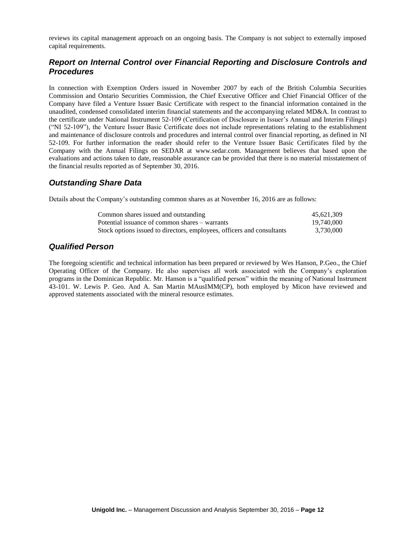reviews its capital management approach on an ongoing basis. The Company is not subject to externally imposed capital requirements.

## *Report on Internal Control over Financial Reporting and Disclosure Controls and Procedures*

In connection with Exemption Orders issued in November 2007 by each of the British Columbia Securities Commission and Ontario Securities Commission, the Chief Executive Officer and Chief Financial Officer of the Company have filed a Venture Issuer Basic Certificate with respect to the financial information contained in the unaudited, condensed consolidated interim financial statements and the accompanying related MD&A. In contrast to the certificate under National Instrument 52-109 (Certification of Disclosure in Issuer's Annual and Interim Filings) ("NI 52-109"), the Venture Issuer Basic Certificate does not include representations relating to the establishment and maintenance of disclosure controls and procedures and internal control over financial reporting, as defined in NI 52-109. For further information the reader should refer to the Venture Issuer Basic Certificates filed by the Company with the Annual Filings on SEDAR at www.sedar.com. Management believes that based upon the evaluations and actions taken to date, reasonable assurance can be provided that there is no material misstatement of the financial results reported as of September 30, 2016.

# *Outstanding Share Data*

Details about the Company's outstanding common shares as at November 16, 2016 are as follows:

| Common shares issued and outstanding                                   | 45.621.309 |
|------------------------------------------------------------------------|------------|
| Potential issuance of common shares – warrants                         | 19,740,000 |
| Stock options issued to directors, employees, officers and consultants | 3.730.000  |

### *Qualified Person*

The foregoing scientific and technical information has been prepared or reviewed by Wes Hanson, P.Geo., the Chief Operating Officer of the Company. He also supervises all work associated with the Company's exploration programs in the Dominican Republic. Mr. Hanson is a "qualified person" within the meaning of National Instrument 43-101. W. Lewis P. Geo. And A. San Martin MAusIMM(CP), both employed by Micon have reviewed and approved statements associated with the mineral resource estimates.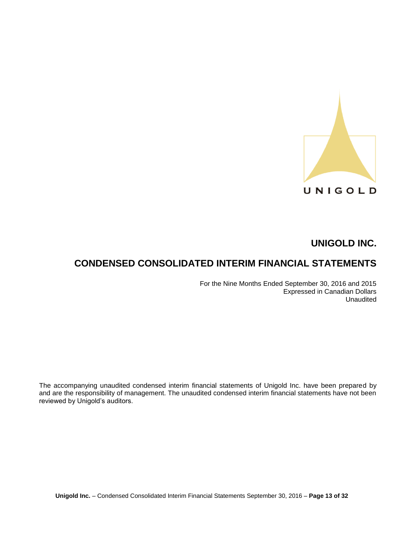

# **CONDENSED CONSOLIDATED INTERIM FINANCIAL STATEMENTS**

For the Nine Months Ended September 30, 2016 and 2015 Expressed in Canadian Dollars Unaudited

The accompanying unaudited condensed interim financial statements of Unigold Inc. have been prepared by and are the responsibility of management. The unaudited condensed interim financial statements have not been reviewed by Unigold's auditors.

**Unigold Inc.** – Condensed Consolidated Interim Financial Statements September 30, 2016 – **Page 13 of 32**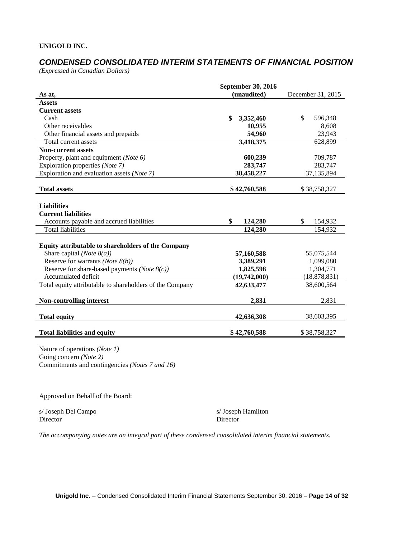# *CONDENSED CONSOLIDATED INTERIM STATEMENTS OF FINANCIAL POSITION*

*(Expressed in Canadian Dollars)*

|                                                           | <b>September 30, 2016</b> |                   |
|-----------------------------------------------------------|---------------------------|-------------------|
| As at,                                                    | (unaudited)               | December 31, 2015 |
| <b>Assets</b>                                             |                           |                   |
| <b>Current assets</b>                                     |                           |                   |
| Cash                                                      | \$<br>3,352,460           | \$<br>596,348     |
| Other receivables                                         | 10,955                    | 8,608             |
| Other financial assets and prepaids                       | 54,960                    | 23,943            |
| Total current assets                                      | 3,418,375                 | 628,899           |
| <b>Non-current assets</b>                                 |                           |                   |
| Property, plant and equipment (Note 6)                    | 600,239                   | 709,787           |
| Exploration properties (Note 7)                           | 283,747                   | 283,747           |
| Exploration and evaluation assets (Note 7)                | 38,458,227                | 37,135,894        |
| <b>Total assets</b>                                       | \$42,760,588              | \$38,758,327      |
|                                                           |                           |                   |
| <b>Liabilities</b>                                        |                           |                   |
| <b>Current liabilities</b>                                |                           |                   |
| Accounts payable and accrued liabilities                  | \$<br>124,280             | \$<br>154,932     |
| <b>Total liabilities</b>                                  | 124,280                   | 154,932           |
|                                                           |                           |                   |
| <b>Equity attributable to shareholders of the Company</b> |                           |                   |
| Share capital (Note $8(a)$ )                              | 57,160,588                | 55,075,544        |
| Reserve for warrants (Note $8(b)$ )                       | 3,389,291                 | 1,099,080         |
| Reserve for share-based payments (Note $8(c)$ )           | 1,825,598                 | 1,304,771         |
| Accumulated deficit                                       | (19,742,000)              | (18, 878, 831)    |
| Total equity attributable to shareholders of the Company  | 42,633,477                | 38,600,564        |
| <b>Non-controlling interest</b>                           | 2,831                     | 2,831             |
| <b>Total equity</b>                                       | 42,636,308                | 38,603,395        |
| <b>Total liabilities and equity</b>                       | \$42,760,588              | \$38,758,327      |

Nature of operations *(Note 1)* Going concern *(Note 2)* Commitments and contingencies *(Notes 7 and 16)*

Approved on Behalf of the Board:

s/ Joseph Del Campo s/ Joseph Hamilton Director Director

*The accompanying notes are an integral part of these condensed consolidated interim financial statements.*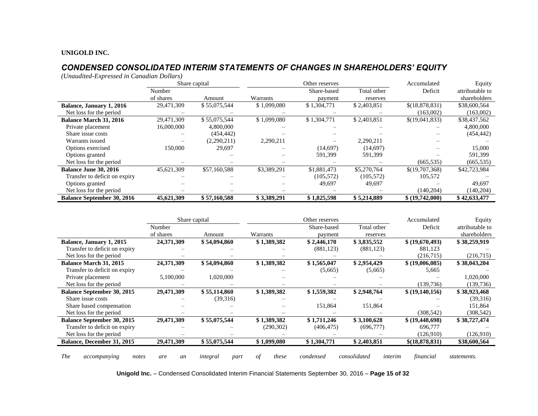# *CONDENSED CONSOLIDATED INTERIM STATEMENTS OF CHANGES IN SHAREHOLDERS' EQUITY*

*(Unaudited-Expressed in Canadian Dollars)*

|                                   |            | Share capital | Other reserves |             | Accumulated | Equity          |                 |
|-----------------------------------|------------|---------------|----------------|-------------|-------------|-----------------|-----------------|
|                                   | Number     |               |                | Share-based | Total other | Deficit         | attributable to |
|                                   | of shares  | Amount        | Warrants       | payment     | reserves    |                 | shareholders    |
| Balance, January 1, 2016          | 29,471,309 | \$55,075,544  | \$1,099,080    | \$1,304,771 | \$2,403,851 | \$(18,878,831)  | \$38,600,564    |
| Net loss for the period           |            |               |                |             |             | (163,002)       | (163,002)       |
| <b>Balance March 31, 2016</b>     | 29,471,309 | \$55,075,544  | \$1,099,080    | \$1,304,771 | \$2,403,851 | \$(19,041,833)  | \$38,437,562    |
| Private placement                 | 16,000,000 | 4,800,000     |                |             |             |                 | 4,800,000       |
| Share issue costs                 |            | (454, 442)    |                |             |             |                 | (454, 442)      |
| Warrants issued                   |            | (2,290,211)   | 2,290,211      |             | 2,290,211   |                 |                 |
| Options exercised                 | 150,000    | 29,697        |                | (14.697)    | (14,697)    |                 | 15,000          |
| Options granted                   |            |               |                | 591,399     | 591,399     |                 | 591,399         |
| Net loss for the period           |            |               |                |             |             | (665, 535)      | (665, 535)      |
| <b>Balance June 30, 2016</b>      | 45,621,309 | \$57,160,588  | \$3,389,291    | \$1,881,473 | \$5,270,764 | \$(19,707,368)  | \$42,723,984    |
| Transfer to deficit on expiry     |            |               |                | (105, 572)  | (105, 572)  | 105,572         |                 |
| Options granted                   |            |               |                | 49.697      | 49,697      |                 | 49,697          |
| Net loss for the period           |            |               |                |             |             | (140, 204)      | (140,204)       |
| <b>Balance September 30, 2016</b> | 45,621,309 | \$57,160,588  | \$3,389,291    | \$1,825,598 | \$5,214,889 | \$ (19,742,000) | \$42,633,477    |

|                                     |            | Share capital    |             | Other reserves |                         | Accumulated     | Equity          |
|-------------------------------------|------------|------------------|-------------|----------------|-------------------------|-----------------|-----------------|
|                                     | Number     |                  |             | Share-based    | Total other             | Deficit         | attributable to |
|                                     | of shares  | Amount           | Warrants    | payment        | reserves                |                 | shareholders    |
| Balance, January 1, 2015            | 24,371,309 | \$54,094,860     | \$1,389,382 | \$2,446,170    | \$3,835,552             | \$ (19,670,493) | \$38,259,919    |
| Transfer to deficit on expiry       |            |                  |             | (881, 123)     | (881, 123)              | 881,123         |                 |
| Net loss for the period             |            |                  |             |                |                         | (216,715)       | (216,715)       |
| <b>Balance March 31, 2015</b>       | 24,371,309 | \$54,094,860     | \$1,389,382 | \$1,565,047    | \$2,954,429             | \$(19,006,085)  | \$38,043,204    |
| Transfer to deficit on expiry       |            |                  |             | (5,665)        | (5,665)                 | 5,665           |                 |
| Private placement                   | 5,100,000  | 1,020,000        |             |                |                         |                 | 1,020,000       |
| Net loss for the period             |            |                  |             |                |                         | (139, 736)      | (139, 736)      |
| <b>Balance September 30, 2015</b>   | 29,471,309 | \$55,114,860     | \$1,389,382 | \$1,559,382    | \$2,948,764             | \$(19,140,156)  | \$38,923,468    |
| Share issue costs                   |            | (39,316)         |             |                |                         |                 | (39,316)        |
| Share based compensation            |            |                  |             | 151,864        | 151,864                 |                 | 151,864         |
| Net loss for the period             |            |                  |             |                |                         | (308, 542)      | (308, 542)      |
| <b>Balance September 30, 2015</b>   | 29,471,309 | \$55,075,544     | \$1,389,382 | \$1,711,246    | \$3,100,628             | \$ (19,448,698) | \$38,727,474    |
| Transfer to deficit on expiry       |            |                  | (290, 302)  | (406, 475)     | (696,777)               | 696,777         |                 |
| Net loss for the period             |            |                  |             |                |                         | (126,910)       | (126,910)       |
| Balance, December 31, 2015          | 29,471,309 | \$55,075,544     | \$1,099,080 | \$1,304,771    | \$2,403,851             | \$(18,878,831)  | \$38,600,564    |
|                                     |            |                  |             |                |                         |                 |                 |
| <b>The</b><br>notes<br>accompanying | are<br>an  | integral<br>part | of<br>these | condensed      | consolidated<br>interim | financial       | statements.     |

**Unigold Inc.** – Condensed Consolidated Interim Financial Statements September 30, 2016 – **Page 15 of 32**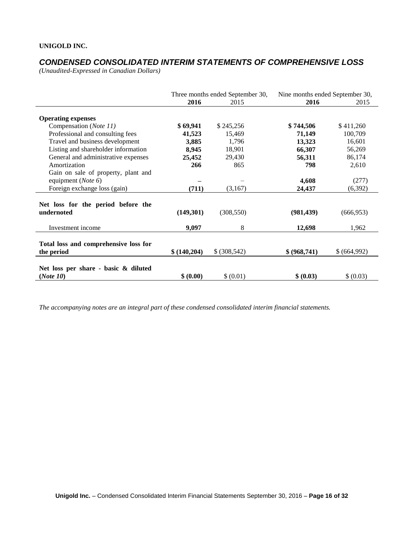# *CONDENSED CONSOLIDATED INTERIM STATEMENTS OF COMPREHENSIVE LOSS*

*(Unaudited-Expressed in Canadian Dollars)* 

|                                                                      | Three months ended September 30, |               | Nine months ended September 30, |             |
|----------------------------------------------------------------------|----------------------------------|---------------|---------------------------------|-------------|
|                                                                      | 2016                             | 2015          | 2016                            | 2015        |
| <b>Operating expenses</b>                                            |                                  |               |                                 |             |
| Compensation (Note 11)                                               | \$69,941                         | \$245,256     | \$744,506                       | \$411,260   |
| Professional and consulting fees                                     | 41,523                           | 15,469        | 71,149                          | 100,709     |
| Travel and business development                                      | 3,885                            | 1,796         | 13,323                          | 16,601      |
| Listing and shareholder information                                  | 8,945                            | 18,901        | 66,307                          | 56,269      |
| General and administrative expenses                                  | 25,452                           | 29,430        | 56,311                          | 86,174      |
| Amortization                                                         | 266                              | 865           | 798                             | 2,610       |
| Gain on sale of property, plant and<br>equipment ( <i>Note</i> $6$ ) |                                  |               | 4,608                           | (277)       |
| Foreign exchange loss (gain)                                         | (711)                            | (3,167)       | 24,437                          | (6,392)     |
| Net loss for the period before the<br>undernoted                     | (149,301)                        | (308, 550)    | (981, 439)                      | (666, 953)  |
| Investment income                                                    | 9,097                            | 8             | 12,698                          | 1,962       |
| Total loss and comprehensive loss for<br>the period                  | \$(140,204)                      | \$ (308, 542) | \$ (968,741)                    | \$(664,992) |
| Net loss per share - basic & diluted<br>(Note 10)                    | \$ (0.00)                        | \$ (0.01)     | \$ (0.03)                       | \$ (0.03)   |

*The accompanying notes are an integral part of these condensed consolidated interim financial statements.*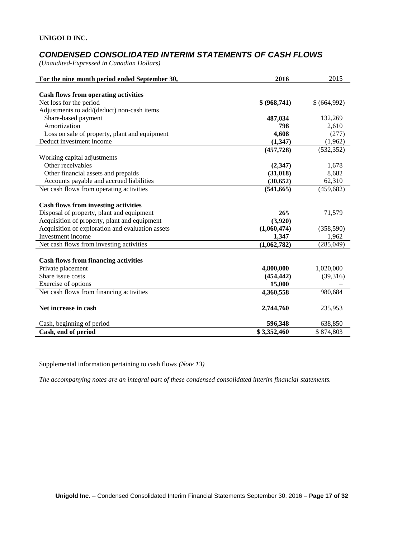# *CONDENSED CONSOLIDATED INTERIM STATEMENTS OF CASH FLOWS*

*(Unaudited-Expressed in Canadian Dollars)* 

| For the nine month period ended September 30,                          | 2016         | 2015        |
|------------------------------------------------------------------------|--------------|-------------|
|                                                                        |              |             |
| <b>Cash flows from operating activities</b><br>Net loss for the period | \$ (968,741) | \$(664,992) |
|                                                                        |              |             |
| Adjustments to add/(deduct) non-cash items                             |              |             |
| Share-based payment                                                    | 487,034      | 132,269     |
| Amortization                                                           | 798          | 2,610       |
| Loss on sale of property, plant and equipment                          | 4,608        | (277)       |
| Deduct investment income                                               | (1,347)      | (1,962)     |
|                                                                        | (457, 728)   | (532, 352)  |
| Working capital adjustments                                            |              |             |
| Other receivables                                                      | (2, 347)     | 1,678       |
| Other financial assets and prepaids                                    | (31, 018)    | 8,682       |
| Accounts payable and accrued liabilities                               | (30, 652)    | 62,310      |
| Net cash flows from operating activities                               | (541, 665)   | (459, 682)  |
|                                                                        |              |             |
| <b>Cash flows from investing activities</b>                            |              |             |
| Disposal of property, plant and equipment                              | 265          | 71,579      |
| Acquisition of property, plant and equipment                           | (3,920)      |             |
| Acquisition of exploration and evaluation assets                       | (1,060,474)  | (358, 590)  |
| Investment income                                                      | 1,347        | 1,962       |
| Net cash flows from investing activities                               | (1,062,782)  | (285,049)   |
|                                                                        |              |             |
| <b>Cash flows from financing activities</b>                            |              |             |
| Private placement                                                      | 4,800,000    | 1,020,000   |
| Share issue costs                                                      | (454, 442)   | (39,316)    |
| Exercise of options                                                    | 15,000       |             |
| Net cash flows from financing activities                               | 4,360,558    | 980,684     |
|                                                                        |              |             |
| Net increase in cash                                                   | 2,744,760    | 235,953     |
|                                                                        |              |             |
| Cash, beginning of period                                              | 596,348      | 638,850     |
| Cash, end of period                                                    | \$3,352,460  | \$874,803   |

Supplemental information pertaining to cash flows *(Note 13)*

*The accompanying notes are an integral part of these condensed consolidated interim financial statements.*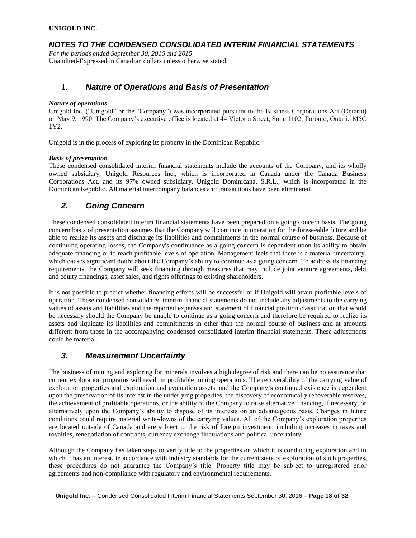# *NOTES TO THE CONDENSED CONSOLIDATED INTERIM FINANCIAL STATEMENTS*

*For the periods ended September 30, 2016 and 2015* Unaudited-Expressed in Canadian dollars unless otherwise stated.

### **1.** *Nature of Operations and Basis of Presentation*

#### *Nature of operations*

Unigold Inc. ("Unigold" or the "Company") was incorporated pursuant to the Business Corporations Act (Ontario) on May 9, 1990. The Company's executive office is located at 44 Victoria Street, Suite 1102, Toronto, Ontario M5C 1Y2.

Unigold is in the process of exploring its property in the Dominican Republic.

#### *Basis of presentation*

These condensed consolidated interim financial statements include the accounts of the Company, and its wholly owned subsidiary, Unigold Resources Inc., which is incorporated in Canada under the Canada Business Corporations Act, and its 97% owned subsidiary, Unigold Dominicana, S.R.L., which is incorporated in the Dominican Republic. All material intercompany balances and transactions have been eliminated.

### *2. Going Concern*

These condensed consolidated interim financial statements have been prepared on a going concern basis. The going concern basis of presentation assumes that the Company will continue in operation for the foreseeable future and be able to realize its assets and discharge its liabilities and commitments in the normal course of business. Because of continuing operating losses, the Company's continuance as a going concern is dependent upon its ability to obtain adequate financing or to reach profitable levels of operation. Management feels that there is a material uncertainty, which causes significant doubt about the Company's ability to continue as a going concern. To address its financing requirements, the Company will seek financing through measures that may include joint venture agreements, debt and equity financings, asset sales, and rights offerings to existing shareholders.

It is not possible to predict whether financing efforts will be successful or if Unigold will attain profitable levels of operation. These condensed consolidated interim financial statements do not include any adjustments to the carrying values of assets and liabilities and the reported expenses and statement of financial position classification that would be necessary should the Company be unable to continue as a going concern and therefore be required to realize its assets and liquidate its liabilities and commitments in other than the normal course of business and at amounts different from those in the accompanying condensed consolidated interim financial statements. These adjustments could be material.

# *3. Measurement Uncertainty*

The business of mining and exploring for minerals involves a high degree of risk and there can be no assurance that current exploration programs will result in profitable mining operations. The recoverability of the carrying value of exploration properties and exploration and evaluation assets, and the Company's continued existence is dependent upon the preservation of its interest in the underlying properties, the discovery of economically recoverable reserves, the achievement of profitable operations, or the ability of the Company to raise alternative financing, if necessary, or alternatively upon the Company's ability to dispose of its interests on an advantageous basis. Changes in future conditions could require material write-downs of the carrying values. All of the Company's exploration properties are located outside of Canada and are subject to the risk of foreign investment, including increases in taxes and royalties, renegotiation of contracts, currency exchange fluctuations and political uncertainty.

Although the Company has taken steps to verify title to the properties on which it is conducting exploration and in which it has an interest, in accordance with industry standards for the current state of exploration of such properties, these procedures do not guarantee the Company's title. Property title may be subject to unregistered prior agreements and non-compliance with regulatory and environmental requirements.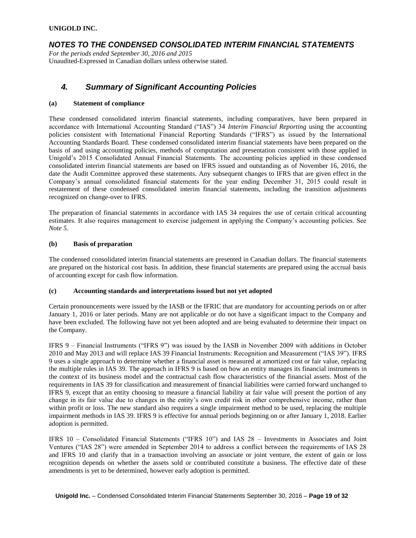### *NOTES TO THE CONDENSED CONSOLIDATED INTERIM FINANCIAL STATEMENTS*

*For the periods ended September 30, 2016 and 2015* Unaudited-Expressed in Canadian dollars unless otherwise stated.

## *4. Summary of Significant Accounting Policies*

#### **(a) Statement of compliance**

These condensed consolidated interim financial statements, including comparatives, have been prepared in accordance with International Accounting Standard ("IAS") 34 *Interim Financial Reporting* using the accounting policies consistent with International Financial Reporting Standards ("IFRS") as issued by the International Accounting Standards Board. These condensed consolidated interim financial statements have been prepared on the basis of and using accounting policies, methods of computation and presentation consistent with those applied in Unigold's 2015 Consolidated Annual Financial Statements. The accounting policies applied in these condensed consolidated interim financial statements are based on IFRS issued and outstanding as of November 16, 2016, the date the Audit Committee approved these statements. Any subsequent changes to IFRS that are given effect in the Company's annual consolidated financial statements for the year ending December 31, 2015 could result in restatement of these condensed consolidated interim financial statements, including the transition adjustments recognized on change-over to IFRS.

The preparation of financial statements in accordance with IAS 34 requires the use of certain critical accounting estimates. It also requires management to exercise judgement in applying the Company's accounting policies. See *Note 5*.

#### **(b) Basis of preparation**

The condensed consolidated interim financial statements are presented in Canadian dollars. The financial statements are prepared on the historical cost basis. In addition, these financial statements are prepared using the accrual basis of accounting except for cash flow information.

#### **(c) Accounting standards and interpretations issued but not yet adopted**

Certain pronouncements were issued by the IASB or the IFRIC that are mandatory for accounting periods on or after January 1, 2016 or later periods. Many are not applicable or do not have a significant impact to the Company and have been excluded. The following have not yet been adopted and are being evaluated to determine their impact on the Company.

IFRS 9 – Financial Instruments ("IFRS 9") was issued by the IASB in November 2009 with additions in October 2010 and May 2013 and will replace IAS 39 Financial Instruments: Recognition and Measurement ("IAS 39"). IFRS 9 uses a single approach to determine whether a financial asset is measured at amortized cost or fair value, replacing the multiple rules in IAS 39. The approach in IFRS 9 is based on how an entity manages its financial instruments in the context of its business model and the contractual cash flow characteristics of the financial assets. Most of the requirements in IAS 39 for classification and measurement of financial liabilities were carried forward unchanged to IFRS 9, except that an entity choosing to measure a financial liability at fair value will present the portion of any change in its fair value due to changes in the entity's own credit risk in other comprehensive income, rather than within profit or loss. The new standard also requires a single impairment method to be used, replacing the multiple impairment methods in IAS 39. IFRS 9 is effective for annual periods beginning on or after January 1, 2018. Earlier adoption is permitted.

IFRS 10 – Consolidated Financial Statements ("IFRS 10") and IAS 28 – Investments in Associates and Joint Ventures ("IAS 28") were amended in September 2014 to address a conflict between the requirements of IAS 28 and IFRS 10 and clarify that in a transaction involving an associate or joint venture, the extent of gain or loss recognition depends on whether the assets sold or contributed constitute a business. The effective date of these amendments is yet to be determined, however early adoption is permitted.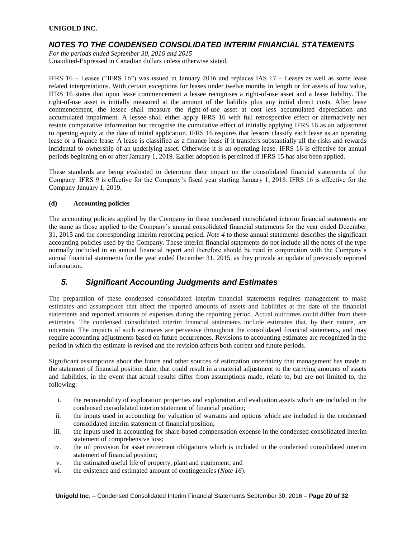### *NOTES TO THE CONDENSED CONSOLIDATED INTERIM FINANCIAL STATEMENTS*

*For the periods ended September 30, 2016 and 2015* Unaudited-Expressed in Canadian dollars unless otherwise stated.

IFRS 16 – Leases ("IFRS 16") was issued in January 2016 and replaces IAS 17 – Leases as well as some lease related interpretations. With certain exceptions for leases under twelve months in length or for assets of low value, IFRS 16 states that upon lease commencement a lessee recognises a right-of-use asset and a lease liability. The right-of-use asset is initially measured at the amount of the liability plus any initial direct costs. After lease commencement, the lessee shall measure the right-of-use asset at cost less accumulated depreciation and accumulated impairment. A lessee shall either apply IFRS 16 with full retrospective effect or alternatively not restate comparative information but recognise the cumulative effect of initially applying IFRS 16 as an adjustment to opening equity at the date of initial application. IFRS 16 requires that lessors classify each lease as an operating lease or a finance lease. A lease is classified as a finance lease if it transfers substantially all the risks and rewards incidental to ownership of an underlying asset. Otherwise it is an operating lease. IFRS 16 is effective for annual periods beginning on or after January 1, 2019. Earlier adoption is permitted if IFRS 15 has also been applied.

These standards are being evaluated to determine their impact on the consolidated financial statements of the Company. IFRS 9 is effective for the Company's fiscal year starting January 1, 2018. IFRS 16 is effective for the Company January 1, 2019.

### **(d) Accounting policies**

The accounting policies applied by the Company in these condensed consolidated interim financial statements are the same as those applied to the Company's annual consolidated financial statements for the year ended December 31, 2015 and the corresponding interim reporting period. *Note 4* to those annual statements describes the significant accounting policies used by the Company. These interim financial statements do not include all the notes of the type normally included in an annual financial report and therefore should be read in conjunction with the Company's annual financial statements for the year ended December 31, 2015, as they provide an update of previously reported information.

# *5. Significant Accounting Judgments and Estimates*

The preparation of these condensed consolidated interim financial statements requires management to make estimates and assumptions that affect the reported amounts of assets and liabilities at the date of the financial statements and reported amounts of expenses during the reporting period. Actual outcomes could differ from these estimates. The condensed consolidated interim financial statements include estimates that, by their nature, are uncertain. The impacts of such estimates are pervasive throughout the consolidated financial statements, and may require accounting adjustments based on future occurrences. Revisions to accounting estimates are recognized in the period in which the estimate is revised and the revision affects both current and future periods.

Significant assumptions about the future and other sources of estimation uncertainty that management has made at the statement of financial position date, that could result in a material adjustment to the carrying amounts of assets and liabilities, in the event that actual results differ from assumptions made, relate to, but are not limited to, the following:

- i. the recoverability of exploration properties and exploration and evaluation assets which are included in the condensed consolidated interim statement of financial position;
- ii. the inputs used in accounting for valuation of warrants and options which are included in the condensed consolidated interim statement of financial position;
- iii. the inputs used in accounting for share-based compensation expense in the condensed consolidated interim statement of comprehensive loss;
- iv. the nil provision for asset retirement obligations which is included in the condensed consolidated interim statement of financial position;
- v. the estimated useful life of property, plant and equipment; and
- vi. the existence and estimated amount of contingencies (*Note 16*).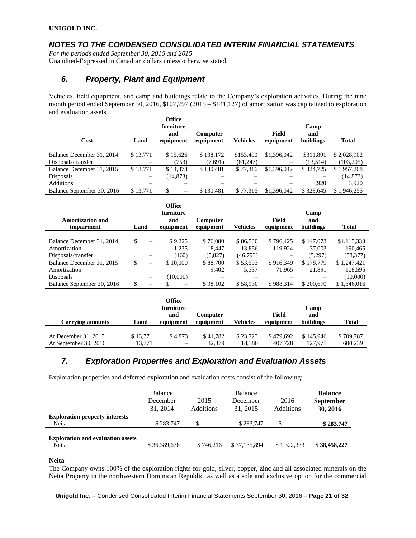## *NOTES TO THE CONDENSED CONSOLIDATED INTERIM FINANCIAL STATEMENTS*

*For the periods ended September 30, 2016 and 2015* Unaudited-Expressed in Canadian dollars unless otherwise stated.

## *6. Property, Plant and Equipment*

Vehicles, field equipment, and camp and buildings relate to the Company's exploration activities. During the nine month period ended September 30, 2016, \$107,797 (2015 – \$141,127) of amortization was capitalized to exploration and evaluation assets.

| Cost                       | Land     | <b>Office</b><br>furniture<br>and<br>equipment | Computer<br>equipment | Vehicles  | Field<br>equipment | Camp<br>and<br>buildings | Total       |
|----------------------------|----------|------------------------------------------------|-----------------------|-----------|--------------------|--------------------------|-------------|
|                            |          |                                                |                       |           |                    |                          |             |
| Balance December 31, 2014  | \$13,771 | \$15,626                                       | \$138,172             | \$153,400 | \$1,396,042        | \$311,891                | \$2,028,902 |
| Disposals/transfer         |          | (753)                                          | (7,691)               | (81,247)  |                    | (13,514)                 | (103, 205)  |
| Balance December 31, 2015  | \$13,771 | \$14,873                                       | \$130.481             | \$77,316  | \$1,396,042        | \$324,725                | \$1,957,208 |
| Disposals                  | —        | (14, 873)                                      |                       |           |                    |                          | (14, 873)   |
| <b>Additions</b>           |          |                                                |                       |           |                    | 3.920                    | 3,920       |
| Balance September 30, 2016 | \$13,771 | \$<br>-                                        | \$130.481             | \$77,316  | \$1,396,042        | \$328,645                | \$1.946.255 |

|                                       |      |                          | <b>Office</b><br>furniture |                              |                 |                    | Camp             |              |
|---------------------------------------|------|--------------------------|----------------------------|------------------------------|-----------------|--------------------|------------------|--------------|
| <b>Amortization and</b><br>impairment | Land |                          | and<br>equipment           | <b>Computer</b><br>equipment | <b>Vehicles</b> | Field<br>equipment | and<br>buildings | <b>Total</b> |
|                                       |      |                          |                            |                              |                 |                    |                  |              |
| Balance December 31, 2014             | \$.  | $\overline{\phantom{0}}$ | \$9.225                    | \$76,080                     | \$86,530        | \$796,425          | \$147,073        | \$1,115,333  |
| Amortization                          |      |                          | 1.235                      | 18.447                       | 13.856          | 119.924            | 37,003           | 190.465      |
| Disposals/transfer                    |      |                          | (460)                      | (5,827)                      | (46,793)        |                    | (5,297)          | (58, 377)    |
| Balance December 31, 2015             | \$   |                          | \$10,000                   | \$88,700                     | \$53,593        | \$916.349          | \$178,779        | \$1,247,421  |
| Amortization                          |      | -                        |                            | 9.402                        | 5,337           | 71.965             | 21.891           | 108,595      |
| <b>Disposals</b>                      |      | —                        | (10,000)                   |                              |                 |                    |                  | (10,000)     |
| Balance September 30, 2016            | ъ    |                          |                            | \$98,102                     | \$58,930        | \$988,314          | \$200,670        | \$1,346,016  |

|                       |          | <b>Office</b><br>furniture<br>and | Computer  |          | Field     | Camp<br>and |              |
|-----------------------|----------|-----------------------------------|-----------|----------|-----------|-------------|--------------|
| Carrying amounts      | Land     | equipment                         | equipment | Vehicles | equipment | buildings   | <b>Total</b> |
|                       |          |                                   |           |          |           |             |              |
| At December 31, 2015  | \$13.771 | \$4.873                           | \$41,782  | \$23.723 | \$479.692 | \$145,946   | \$709.787    |
| At September 30, 2016 | 13.771   | $\overline{\phantom{m}}$          | 32,379    | 18.386   | 407.728   | 127,975     | 600.239      |

### *7. Exploration Properties and Exploration and Evaluation Assets*

Exploration properties and deferred exploration and evaluation costs consist of the following:

|                                                   | Balance<br>December<br>31, 2014 | 2015<br><b>Additions</b> | Balance<br>December<br>31, 2015 | 2016<br>Additions | <b>Balance</b><br><b>September</b><br>30, 2016 |
|---------------------------------------------------|---------------------------------|--------------------------|---------------------------------|-------------------|------------------------------------------------|
| <b>Exploration property interests</b><br>Neita    | \$283,747                       | $\overline{\phantom{0}}$ | \$283,747                       |                   | \$283,747                                      |
| <b>Exploration and evaluation assets</b><br>Neita | \$36,389,678                    | \$746.216                | \$37,135,894                    | \$1,322,333       | \$38,458,227                                   |

#### **Neita**

The Company owns 100% of the exploration rights for gold, silver, copper, zinc and all associated minerals on the Neita Property in the northwestern Dominican Republic, as well as a sole and exclusive option for the commercial

**Unigold Inc.** – Condensed Consolidated Interim Financial Statements September 30, 2016 – **Page 21 of 32**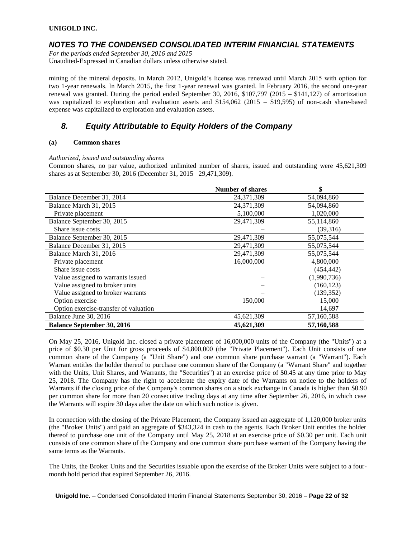### *NOTES TO THE CONDENSED CONSOLIDATED INTERIM FINANCIAL STATEMENTS*

*For the periods ended September 30, 2016 and 2015* Unaudited-Expressed in Canadian dollars unless otherwise stated.

mining of the mineral deposits. In March 2012, Unigold's license was renewed until March 2015 with option for two 1-year renewals. In March 2015, the first 1-year renewal was granted. In February 2016, the second one-year renewal was granted. During the period ended September 30, 2016, \$107,797 (2015 – \$141,127) of amortization was capitalized to exploration and evaluation assets and \$154,062 (2015 – \$19,595) of non-cash share-based expense was capitalized to exploration and evaluation assets.

# *8. Equity Attributable to Equity Holders of the Company*

#### **(a) Common shares**

#### *Authorized, issued and outstanding shares*

Common shares, no par value, authorized unlimited number of shares, issued and outstanding were 45,621,309 shares as at September 30, 2016 (December 31, 2015– 29,471,309).

|                                       | <b>Number of shares</b> | \$          |
|---------------------------------------|-------------------------|-------------|
| Balance December 31, 2014             | 24,371,309              | 54,094,860  |
| Balance March 31, 2015                | 24,371,309              | 54,094,860  |
| Private placement                     | 5,100,000               | 1,020,000   |
| Balance September 30, 2015            | 29,471,309              | 55,114,860  |
| Share issue costs                     |                         | (39,316)    |
| Balance September 30, 2015            | 29,471,309              | 55,075,544  |
| Balance December 31, 2015             | 29,471,309              | 55,075,544  |
| Balance March 31, 2016                | 29,471,309              | 55,075,544  |
| Private placement                     | 16,000,000              | 4,800,000   |
| Share issue costs                     |                         | (454, 442)  |
| Value assigned to warrants issued     |                         | (1,990,736) |
| Value assigned to broker units        |                         | (160, 123)  |
| Value assigned to broker warrants     |                         | (139, 352)  |
| Option exercise                       | 150,000                 | 15,000      |
| Option exercise-transfer of valuation |                         | 14,697      |
| Balance June 30, 2016                 | 45,621,309              | 57,160,588  |
| <b>Balance September 30, 2016</b>     | 45,621,309              | 57,160,588  |

On May 25, 2016, Unigold Inc. closed a private placement of 16,000,000 units of the Company (the "Units") at a price of \$0.30 per Unit for gross proceeds of \$4,800,000 (the "Private Placement"). Each Unit consists of one common share of the Company (a "Unit Share") and one common share purchase warrant (a "Warrant"). Each Warrant entitles the holder thereof to purchase one common share of the Company (a "Warrant Share" and together with the Units, Unit Shares, and Warrants, the "Securities") at an exercise price of \$0.45 at any time prior to May 25, 2018. The Company has the right to accelerate the expiry date of the Warrants on notice to the holders of Warrants if the closing price of the Company's common shares on a stock exchange in Canada is higher than \$0.90 per common share for more than 20 consecutive trading days at any time after September 26, 2016, in which case the Warrants will expire 30 days after the date on which such notice is given.

In connection with the closing of the Private Placement, the Company issued an aggregate of 1,120,000 broker units (the "Broker Units") and paid an aggregate of \$343,324 in cash to the agents. Each Broker Unit entitles the holder thereof to purchase one unit of the Company until May 25, 2018 at an exercise price of \$0.30 per unit. Each unit consists of one common share of the Company and one common share purchase warrant of the Company having the same terms as the Warrants.

The Units, the Broker Units and the Securities issuable upon the exercise of the Broker Units were subject to a fourmonth hold period that expired September 26, 2016.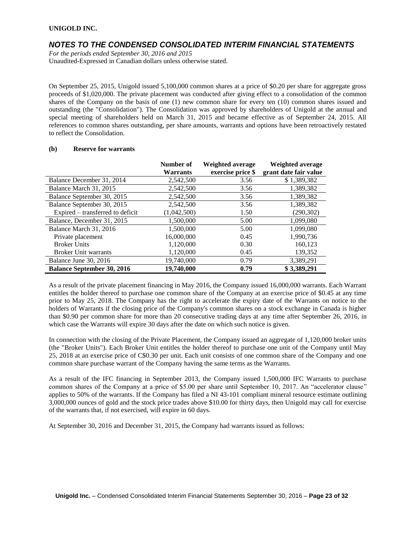### *NOTES TO THE CONDENSED CONSOLIDATED INTERIM FINANCIAL STATEMENTS*

*For the periods ended September 30, 2016 and 2015*

Unaudited-Expressed in Canadian dollars unless otherwise stated.

On September 25, 2015, Unigold issued 5,100,000 common shares at a price of \$0.20 per share for aggregate gross proceeds of \$1,020,000. The private placement was conducted after giving effect to a consolidation of the common shares of the Company on the basis of one (1) new common share for every ten (10) common shares issued and outstanding (the "Consolidation"). The Consolidation was approved by shareholders of Unigold at the annual and special meeting of shareholders held on March 31, 2015 and became effective as of September 24, 2015. All references to common shares outstanding, per share amounts, warrants and options have been retroactively restated to reflect the Consolidation.

|                                   | Number of       | Weighted average  | Weighted average      |
|-----------------------------------|-----------------|-------------------|-----------------------|
|                                   | <b>Warrants</b> | exercise price \$ | grant date fair value |
| Balance December 31, 2014         | 2,542,500       | 3.56              | \$1,389,382           |
| Balance March 31, 2015            | 2,542,500       | 3.56              | 1,389,382             |
| Balance September 30, 2015        | 2,542,500       | 3.56              | 1,389,382             |
| Balance September 30, 2015        | 2.542.500       | 3.56              | 1.389.382             |
| Expired – transferred to deficit  | (1,042,500)     | 1.50              | (290, 302)            |
| Balance, December 31, 2015        | 1,500,000       | 5.00              | 1,099,080             |
| Balance March 31, 2016            | 1,500,000       | 5.00              | 1,099,080             |
| Private placement                 | 16.000.000      | 0.45              | 1,990,736             |
| <b>Broker Units</b>               | 1,120,000       | 0.30              | 160,123               |
| <b>Broker Unit warrants</b>       | 1,120,000       | 0.45              | 139,352               |
| Balance June 30, 2016             | 19,740,000      | 0.79              | 3,389,291             |
| <b>Balance September 30, 2016</b> | 19,740,000      | 0.79              | \$3,389,291           |

### **(b) Reserve for warrants**

As a result of the private placement financing in May 2016, the Company issued 16,000,000 warrants. Each Warrant entitles the holder thereof to purchase one common share of the Company at an exercise price of \$0.45 at any time prior to May 25, 2018. The Company has the right to accelerate the expiry date of the Warrants on notice to the holders of Warrants if the closing price of the Company's common shares on a stock exchange in Canada is higher than \$0.90 per common share for more than 20 consecutive trading days at any time after September 26, 2016, in which case the Warrants will expire 30 days after the date on which such notice is given.

In connection with the closing of the Private Placement, the Company issued an aggregate of 1,120,000 broker units (the "Broker Units"). Each Broker Unit entitles the holder thereof to purchase one unit of the Company until May 25, 2018 at an exercise price of C\$0.30 per unit. Each unit consists of one common share of the Company and one common share purchase warrant of the Company having the same terms as the Warrants.

As a result of the IFC financing in September 2013, the Company issued 1,500,000 IFC Warrants to purchase common shares of the Company at a price of \$5.00 per share until September 10, 2017. An "accelerator clause" applies to 50% of the warrants. If the Company has filed a NI 43-101 compliant mineral resource estimate outlining 3,000,000 ounces of gold and the stock price trades above \$10.00 for thirty days, then Unigold may call for exercise of the warrants that, if not exercised, will expire in 60 days.

At September 30, 2016 and December 31, 2015, the Company had warrants issued as follows: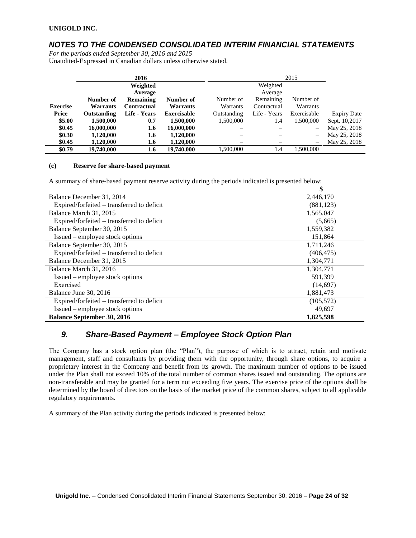# *NOTES TO THE CONDENSED CONSOLIDATED INTERIM FINANCIAL STATEMENTS*

*For the periods ended September 30, 2016 and 2015* Unaudited-Expressed in Canadian dollars unless otherwise stated.

|                 |                    | 2016             |                    |             |              | 2015        |                    |
|-----------------|--------------------|------------------|--------------------|-------------|--------------|-------------|--------------------|
|                 |                    | Weighted         |                    |             | Weighted     |             |                    |
|                 |                    | Average          |                    |             | Average      |             |                    |
|                 | Number of          | <b>Remaining</b> | Number of          | Number of   | Remaining    | Number of   |                    |
| <b>Exercise</b> | <b>Warrants</b>    | Contractual      | Warrants           | Warrants    | Contractual  | Warrants    |                    |
| Price           | <b>Outstanding</b> | Life - Years     | <b>Exercisable</b> | Outstanding | Life - Years | Exercisable | <b>Expiry Date</b> |
| \$5.00          | 1,500,000          | 0.7              | 1.500.000          | 1,500,000   | 1.4          | 1,500,000   | Sept. 10,2017      |
| \$0.45          | 16,000,000         | 1.6              | 16,000,000         |             |              |             | May 25, 2018       |
| \$0.30          | 1,120,000          | 1.6              | 1,120,000          |             |              | -           | May 25, 2018       |
| \$0.45          | 1,120,000          | 1.6              | 1,120,000          |             |              |             | May 25, 2018       |
| \$0.79          | 19,740,000         | 1.6              | 19,740,000         | 1.500.000   | 1.4          | 1.500.000   |                    |

#### **(c) Reserve for share-based payment**

A summary of share-based payment reserve activity during the periods indicated is presented below:

|                                            | \$         |
|--------------------------------------------|------------|
| Balance December 31, 2014                  | 2,446,170  |
| Expired/forfeited – transferred to deficit | (881, 123) |
| Balance March 31, 2015                     | 1,565,047  |
| Expired/forfeited – transferred to deficit | (5,665)    |
| Balance September 30, 2015                 | 1,559,382  |
| Issued – employee stock options            | 151,864    |
| Balance September 30, 2015                 | 1,711,246  |
| Expired/forfeited – transferred to deficit | (406, 475) |
| Balance December 31, 2015                  | 1,304,771  |
| Balance March 31, 2016                     | 1,304,771  |
| Issued – employee stock options            | 591,399    |
| Exercised                                  | (14,697)   |
| Balance June 30, 2016                      | 1,881,473  |
| Expired/forfeited – transferred to deficit | (105, 572) |
| Issued – employee stock options            | 49,697     |
| <b>Balance September 30, 2016</b>          | 1,825,598  |

# *9. Share-Based Payment – Employee Stock Option Plan*

The Company has a stock option plan (the "Plan"), the purpose of which is to attract, retain and motivate management, staff and consultants by providing them with the opportunity, through share options, to acquire a proprietary interest in the Company and benefit from its growth. The maximum number of options to be issued under the Plan shall not exceed 10% of the total number of common shares issued and outstanding. The options are non-transferable and may be granted for a term not exceeding five years. The exercise price of the options shall be determined by the board of directors on the basis of the market price of the common shares, subject to all applicable regulatory requirements.

A summary of the Plan activity during the periods indicated is presented below: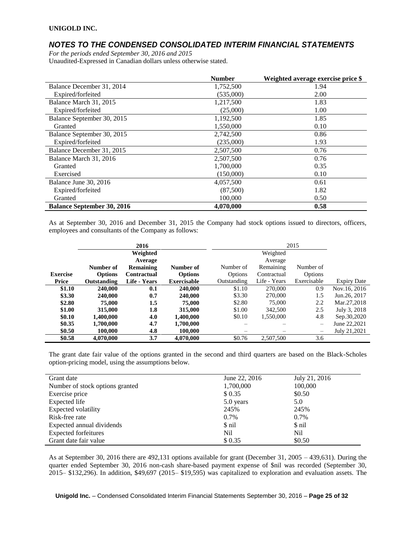### *NOTES TO THE CONDENSED CONSOLIDATED INTERIM FINANCIAL STATEMENTS*

*For the periods ended September 30, 2016 and 2015* Unaudited-Expressed in Canadian dollars unless otherwise stated.

|                                   | <b>Number</b> | Weighted average exercise price \$ |
|-----------------------------------|---------------|------------------------------------|
| Balance December 31, 2014         | 1,752,500     | 1.94                               |
| Expired/forfeited                 | (535,000)     | 2.00                               |
| Balance March 31, 2015            | 1,217,500     | 1.83                               |
| Expired/forfeited                 | (25,000)      | 1.00                               |
| Balance September 30, 2015        | 1,192,500     | 1.85                               |
| Granted                           | 1,550,000     | 0.10                               |
| Balance September 30, 2015        | 2.742.500     | 0.86                               |
| Expired/forfeited                 | (235,000)     | 1.93                               |
| Balance December 31, 2015         | 2,507,500     | 0.76                               |
| Balance March 31, 2016            | 2,507,500     | 0.76                               |
| Granted                           | 1,700,000     | 0.35                               |
| Exercised                         | (150,000)     | 0.10                               |
| Balance June 30, 2016             | 4,057,500     | 0.61                               |
| Expired/forfeited                 | (87,500)      | 1.82                               |
| Granted                           | 100,000       | 0.50                               |
| <b>Balance September 30, 2016</b> | 4,070,000     | 0.58                               |

As at September 30, 2016 and December 31, 2015 the Company had stock options issued to directors, officers, employees and consultants of the Company as follows:

|                 |                    | 2016               |                    |             |              | 2015                     |                    |
|-----------------|--------------------|--------------------|--------------------|-------------|--------------|--------------------------|--------------------|
|                 |                    | Weighted           |                    |             | Weighted     |                          |                    |
|                 |                    | Average            |                    |             | Average      |                          |                    |
|                 | Number of          | Remaining          | Number of          | Number of   | Remaining    | Number of                |                    |
| <b>Exercise</b> | <b>Options</b>     | <b>Contractual</b> | <b>Options</b>     | Options     | Contractual  | Options                  |                    |
| Price           | <b>Outstanding</b> | Life - Years       | <b>Exercisable</b> | Outstanding | Life - Years | Exercisable              | <b>Expiry Date</b> |
| \$1.10          | 240,000            | 0.1                | 240,000            | \$1.10      | 270,000      | 0.9                      | Nov.16, 2016       |
| \$3.30          | 240,000            | 0.7                | 240,000            | \$3.30      | 270,000      | 1.5                      | Jun.26, 2017       |
| \$2.80          | 75,000             | 1.5                | 75,000             | \$2.80      | 75,000       | 2.2                      | Mar.27,2018        |
| \$1.00          | 315,000            | 1.8                | 315,000            | \$1.00      | 342,500      | 2.5                      | July 3, 2018       |
| \$0.10          | 1.400.000          | 4.0                | 1,400,000          | \$0.10      | 1,550,000    | 4.8                      | Sep.30,2020        |
| \$0.35          | 1,700,000          | 4.7                | 1,700,000          |             |              | $\overline{\phantom{0}}$ | June 22,2021       |
| \$0.50          | 100.000            | 4.8                | 100,000            |             |              | $\qquad \qquad -$        | July 21,2021       |
| \$0.58          | 4,070,000          | 3.7                | 4,070,000          | \$0.76      | 2,507,500    | 3.6                      |                    |

The grant date fair value of the options granted in the second and third quarters are based on the Black-Scholes option-pricing model, using the assumptions below.

| Grant date                      | June 22, 2016 | July 21, 2016 |
|---------------------------------|---------------|---------------|
| Number of stock options granted | 1,700,000     | 100,000       |
| Exercise price                  | \$ 0.35       | \$0.50        |
| Expected life                   | 5.0 years     | 5.0           |
| Expected volatility             | 245%          | 245%          |
| Risk-free rate                  | 0.7%          | 0.7%          |
| Expected annual dividends       | \$ nil        | \$ nil        |
| <b>Expected forfeitures</b>     | Nil           | Nil           |
| Grant date fair value           | \$0.35        | \$0.50        |

As at September 30, 2016 there are 492,131 options available for grant (December 31, 2005 – 439,631). During the quarter ended September 30, 2016 non-cash share-based payment expense of \$nil was recorded (September 30, 2015– \$132,296). In addition, \$49,697 (2015– \$19,595) was capitalized to exploration and evaluation assets. The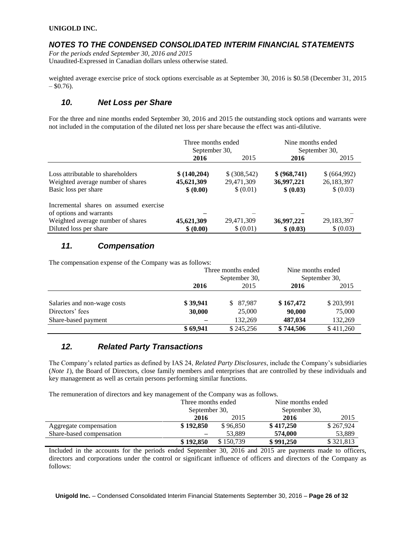### *NOTES TO THE CONDENSED CONSOLIDATED INTERIM FINANCIAL STATEMENTS*

*For the periods ended September 30, 2016 and 2015* Unaudited-Expressed in Canadian dollars unless otherwise stated.

weighted average exercise price of stock options exercisable as at September 30, 2016 is \$0.58 (December 31, 2015  $-$  \$0.76).

## *10. Net Loss per Share*

For the three and nine months ended September 30, 2016 and 2015 the outstanding stock options and warrants were not included in the computation of the diluted net loss per share because the effect was anti-dilutive.

|                                                                                                                                  | Three months ended<br>September 30,    |                                         | Nine months ended                       | September 30,                           |
|----------------------------------------------------------------------------------------------------------------------------------|----------------------------------------|-----------------------------------------|-----------------------------------------|-----------------------------------------|
|                                                                                                                                  | 2016                                   | 2015                                    | 2016                                    | 2015                                    |
| Loss attributable to shareholders<br>Weighted average number of shares<br>Basic loss per share                                   | \$(140,204)<br>45,621,309<br>\$ (0.00) | \$ (308, 542)<br>29,471,309<br>\$(0.01) | \$ (968,741)<br>36,997,221<br>\$ (0.03) | \$ (664,992)<br>26,183,397<br>\$ (0.03) |
| Incremental shares on assumed exercise<br>of options and warrants<br>Weighted average number of shares<br>Diluted loss per share | 45,621,309<br>\$ (0.00)                | 29,471,309<br>\$(0.01)                  | 36,997,221<br>\$ (0.03)                 | 29, 183, 397<br>\$ (0.03)               |

# *11. Compensation*

The compensation expense of the Company was as follows:

|                             | Three months ended<br>September 30, |           | Nine months ended<br>September 30, |           |
|-----------------------------|-------------------------------------|-----------|------------------------------------|-----------|
|                             |                                     |           |                                    |           |
|                             | 2016                                | 2015      | 2016                               | 2015      |
|                             |                                     |           |                                    |           |
| Salaries and non-wage costs | \$39,941                            | \$ 87,987 | \$167,472                          | \$203,991 |
| Directors' fees             | 30,000                              | 25,000    | 90,000                             | 75,000    |
| Share-based payment         |                                     | 132,269   | 487,034                            | 132,269   |
|                             | \$69,941                            | \$245,256 | \$744,506                          | \$411,260 |

### *12. Related Party Transactions*

The Company's related parties as defined by IAS 24, *Related Party Disclosures*, include the Company's subsidiaries (*Note 1*), the Board of Directors, close family members and enterprises that are controlled by these individuals and key management as well as certain persons performing similar functions.

The remuneration of directors and key management of the Company was as follows.

|                          | Three months ended<br>September 30, |           |               | Nine months ended |  |
|--------------------------|-------------------------------------|-----------|---------------|-------------------|--|
|                          |                                     |           | September 30, |                   |  |
|                          | 2016                                | 2015      | 2016          | 2015              |  |
| Aggregate compensation   | \$192,850                           | \$96,850  | \$417,250     | \$267,924         |  |
| Share-based compensation |                                     | 53.889    | 574,000       | 53.889            |  |
|                          | \$192,850                           | \$150,739 | \$991,250     | \$321,813         |  |

Included in the accounts for the periods ended September 30, 2016 and 2015 are payments made to officers, directors and corporations under the control or significant influence of officers and directors of the Company as follows: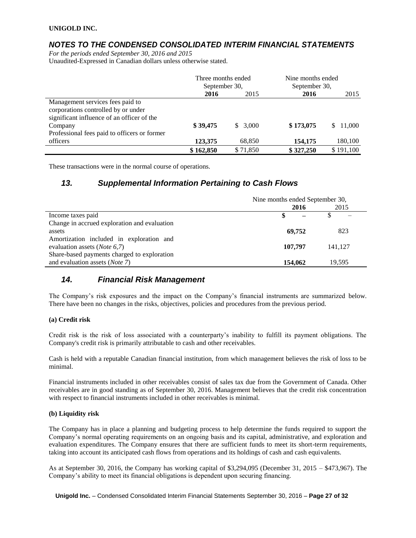### *NOTES TO THE CONDENSED CONSOLIDATED INTERIM FINANCIAL STATEMENTS*

*For the periods ended September 30, 2016 and 2015* Unaudited-Expressed in Canadian dollars unless otherwise stated.

|                                              | Three months ended |          | Nine months ended |           |
|----------------------------------------------|--------------------|----------|-------------------|-----------|
|                                              | September 30,      |          | September 30,     |           |
|                                              | 2016               | 2015     | 2016              | 2015      |
| Management services fees paid to             |                    |          |                   |           |
| corporations controlled by or under          |                    |          |                   |           |
| significant influence of an officer of the   |                    |          |                   |           |
| Company                                      | \$39,475           | \$3.000  | \$173,075         | \$11,000  |
| Professional fees paid to officers or former |                    |          |                   |           |
| officers                                     | 123,375            | 68,850   | 154,175           | 180,100   |
|                                              | \$162,850          | \$71.850 | \$327,250         | \$191,100 |

These transactions were in the normal course of operations.

### *13. Supplemental Information Pertaining to Cash Flows*

|                                              | Nine months ended September 30, |        |         |
|----------------------------------------------|---------------------------------|--------|---------|
|                                              |                                 | 2016   | 2015    |
| Income taxes paid                            |                                 |        |         |
| Change in accrued exploration and evaluation |                                 |        |         |
| assets                                       |                                 | 69.752 | 823     |
| Amortization included in exploration and     |                                 |        |         |
| evaluation assets ( <i>Note</i> $6,7$ )      | 107,797                         |        | 141,127 |
| Share-based payments charged to exploration  |                                 |        |         |
| and evaluation assets (Note 7)               | 154,062                         |        | 19.595  |

# *14. Financial Risk Management*

The Company's risk exposures and the impact on the Company's financial instruments are summarized below. There have been no changes in the risks, objectives, policies and procedures from the previous period.

### **(a) Credit risk**

Credit risk is the risk of loss associated with a counterparty's inability to fulfill its payment obligations. The Company's credit risk is primarily attributable to cash and other receivables.

Cash is held with a reputable Canadian financial institution, from which management believes the risk of loss to be minimal.

Financial instruments included in other receivables consist of sales tax due from the Government of Canada. Other receivables are in good standing as of September 30, 2016. Management believes that the credit risk concentration with respect to financial instruments included in other receivables is minimal.

### **(b) Liquidity risk**

The Company has in place a planning and budgeting process to help determine the funds required to support the Company's normal operating requirements on an ongoing basis and its capital, administrative, and exploration and evaluation expenditures. The Company ensures that there are sufficient funds to meet its short-term requirements, taking into account its anticipated cash flows from operations and its holdings of cash and cash equivalents.

As at September 30, 2016, the Company has working capital of \$3,294,095 (December 31, 2015 – \$473,967). The Company's ability to meet its financial obligations is dependent upon securing financing.

**Unigold Inc.** – Condensed Consolidated Interim Financial Statements September 30, 2016 – **Page 27 of 32**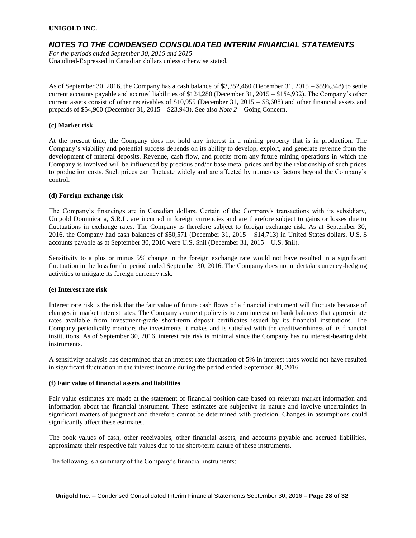### *NOTES TO THE CONDENSED CONSOLIDATED INTERIM FINANCIAL STATEMENTS*

*For the periods ended September 30, 2016 and 2015* Unaudited-Expressed in Canadian dollars unless otherwise stated.

As of September 30, 2016, the Company has a cash balance of \$3,352,460 (December 31, 2015 – \$596,348) to settle current accounts payable and accrued liabilities of \$124,280 (December 31, 2015 – \$154,932). The Company's other current assets consist of other receivables of \$10,955 (December 31, 2015 – \$8,608) and other financial assets and prepaids of \$54,960 (December 31, 2015 – \$23,943). See also *Note 2* – Going Concern.

#### **(c) Market risk**

At the present time, the Company does not hold any interest in a mining property that is in production. The Company's viability and potential success depends on its ability to develop, exploit, and generate revenue from the development of mineral deposits. Revenue, cash flow, and profits from any future mining operations in which the Company is involved will be influenced by precious and/or base metal prices and by the relationship of such prices to production costs. Such prices can fluctuate widely and are affected by numerous factors beyond the Company's control.

#### **(d) Foreign exchange risk**

The Company's financings are in Canadian dollars. Certain of the Company's transactions with its subsidiary, Unigold Dominicana, S.R.L. are incurred in foreign currencies and are therefore subject to gains or losses due to fluctuations in exchange rates. The Company is therefore subject to foreign exchange risk. As at September 30, 2016, the Company had cash balances of \$50,571 (December 31, 2015 – \$14,713) in United States dollars. U.S. \$ accounts payable as at September 30, 2016 were U.S. \$nil (December 31, 2015 – U.S. \$nil).

Sensitivity to a plus or minus 5% change in the foreign exchange rate would not have resulted in a significant fluctuation in the loss for the period ended September 30, 2016. The Company does not undertake currency-hedging activities to mitigate its foreign currency risk.

#### **(e) Interest rate risk**

Interest rate risk is the risk that the fair value of future cash flows of a financial instrument will fluctuate because of changes in market interest rates. The Company's current policy is to earn interest on bank balances that approximate rates available from investment-grade short-term deposit certificates issued by its financial institutions. The Company periodically monitors the investments it makes and is satisfied with the creditworthiness of its financial institutions. As of September 30, 2016, interest rate risk is minimal since the Company has no interest-bearing debt instruments.

A sensitivity analysis has determined that an interest rate fluctuation of 5% in interest rates would not have resulted in significant fluctuation in the interest income during the period ended September 30, 2016.

#### **(f) Fair value of financial assets and liabilities**

Fair value estimates are made at the statement of financial position date based on relevant market information and information about the financial instrument. These estimates are subjective in nature and involve uncertainties in significant matters of judgment and therefore cannot be determined with precision. Changes in assumptions could significantly affect these estimates.

The book values of cash, other receivables, other financial assets, and accounts payable and accrued liabilities, approximate their respective fair values due to the short-term nature of these instruments.

The following is a summary of the Company's financial instruments: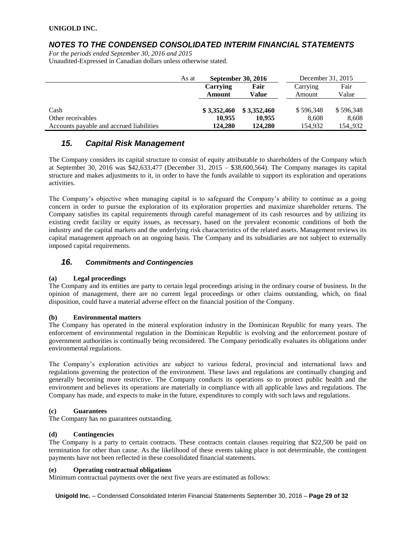## *NOTES TO THE CONDENSED CONSOLIDATED INTERIM FINANCIAL STATEMENTS*

*For the periods ended September 30, 2016 and 2015* Unaudited-Expressed in Canadian dollars unless otherwise stated.

|                                          | As at | <b>September 30, 2016</b> |             | December 31, 2015 |           |
|------------------------------------------|-------|---------------------------|-------------|-------------------|-----------|
|                                          |       | <b>Carrying</b>           | Fair        | Carrying          | Fair      |
|                                          |       | Amount                    | Value       | Amount            | Value     |
|                                          |       |                           |             |                   |           |
| Cash                                     |       | \$3,352,460               | \$3,352,460 | \$596,348         | \$596,348 |
| Other receivables                        |       | 10.955                    | 10.955      | 8.608             | 8,608     |
| Accounts payable and accrued liabilities |       | 124,280                   | 124,280     | 154.932           | 154,,932  |

# *15. Capital Risk Management*

The Company considers its capital structure to consist of equity attributable to shareholders of the Company which at September 30, 2016 was \$42,633,477 (December 31, 2015 – \$38,600,564). The Company manages its capital structure and makes adjustments to it, in order to have the funds available to support its exploration and operations activities.

The Company's objective when managing capital is to safeguard the Company's ability to continue as a going concern in order to pursue the exploration of its exploration properties and maximize shareholder returns. The Company satisfies its capital requirements through careful management of its cash resources and by utilizing its existing credit facility or equity issues, as necessary, based on the prevalent economic conditions of both the industry and the capital markets and the underlying risk characteristics of the related assets. Management reviews its capital management approach on an ongoing basis. The Company and its subsidiaries are not subject to externally imposed capital requirements.

### *16. Commitments and Contingencies*

### **(a) Legal proceedings**

The Company and its entities are party to certain legal proceedings arising in the ordinary course of business. In the opinion of management, there are no current legal proceedings or other claims outstanding, which, on final disposition, could have a material adverse effect on the financial position of the Company.

### **(b) Environmental matters**

The Company has operated in the mineral exploration industry in the Dominican Republic for many years. The enforcement of environmental regulation in the Dominican Republic is evolving and the enforcement posture of government authorities is continually being reconsidered. The Company periodically evaluates its obligations under environmental regulations.

The Company's exploration activities are subject to various federal, provincial and international laws and regulations governing the protection of the environment. These laws and regulations are continually changing and generally becoming more restrictive. The Company conducts its operations so to protect public health and the environment and believes its operations are materially in compliance with all applicable laws and regulations. The Company has made, and expects to make in the future, expenditures to comply with such laws and regulations.

### **(c) Guarantees**

The Company has no guarantees outstanding.

### **(d) Contingencies**

The Company is a party to certain contracts. These contracts contain clauses requiring that \$22,500 be paid on termination for other than cause. As the likelihood of these events taking place is not determinable, the contingent payments have not been reflected in these consolidated financial statements.

### **(e) Operating contractual obligations**

Minimum contractual payments over the next five years are estimated as follows:

**Unigold Inc.** – Condensed Consolidated Interim Financial Statements September 30, 2016 – **Page 29 of 32**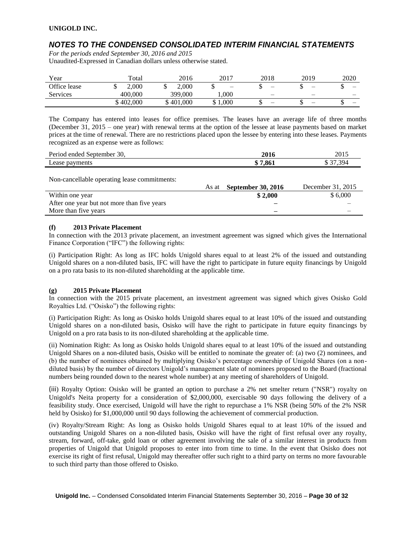# *NOTES TO THE CONDENSED CONSOLIDATED INTERIM FINANCIAL STATEMENTS*

*For the periods ended September 30, 2016 and 2015* Unaudited-Expressed in Canadian dollars unless otherwise stated.

| Year            | Total     | 2016      | 2017       | 2018                     | 2019 | 2020 |
|-----------------|-----------|-----------|------------|--------------------------|------|------|
| Office lease    | 2,000     | 2.000     | –          |                          |      | ω    |
| <b>Services</b> | 400,000   | 399,000   | 000.1      | $\overline{\phantom{0}}$ | -    |      |
|                 | \$402,000 | \$401,000 | 000,1<br>ഄ |                          | —    | —    |

The Company has entered into leases for office premises. The leases have an average life of three months (December 31, 2015 – one year) with renewal terms at the option of the lessee at lease payments based on market prices at the time of renewal. There are no restrictions placed upon the lessee by entering into these leases. Payments recognized as an expense were as follows:

| Period ended September<br>30. | 2016  | 2015            |
|-------------------------------|-------|-----------------|
| Lease                         | '.861 | 30 <sub>0</sub> |
| payments                      | ۱D    | ຼ               |

Non-cancellable operating lease commitments:

|                                             | As at | <b>September 30, 2016</b> | December 31, 2015 |
|---------------------------------------------|-------|---------------------------|-------------------|
| Within one year                             |       | \$2.000                   | \$6,000           |
| After one year but not more than five years |       | _                         |                   |
| More than five years                        |       |                           |                   |

### **(f) 2013 Private Placement**

In connection with the 2013 private placement, an investment agreement was signed which gives the International Finance Corporation ("IFC") the following rights:

(i) Participation Right: As long as IFC holds Unigold shares equal to at least 2% of the issued and outstanding Unigold shares on a non-diluted basis, IFC will have the right to participate in future equity financings by Unigold on a pro rata basis to its non-diluted shareholding at the applicable time.

### **(g) 2015 Private Placement**

In connection with the 2015 private placement, an investment agreement was signed which gives Osisko Gold Royalties Ltd. ("Osisko") the following rights:

(i) Participation Right: As long as Osisko holds Unigold shares equal to at least 10% of the issued and outstanding Unigold shares on a non-diluted basis, Osisko will have the right to participate in future equity financings by Unigold on a pro rata basis to its non-diluted shareholding at the applicable time.

(ii) Nomination Right: As long as Osisko holds Unigold shares equal to at least 10% of the issued and outstanding Unigold Shares on a non-diluted basis, Osisko will be entitled to nominate the greater of: (a) two (2) nominees, and (b) the number of nominees obtained by multiplying Osisko's percentage ownership of Unigold Shares (on a nondiluted basis) by the number of directors Unigold's management slate of nominees proposed to the Board (fractional numbers being rounded down to the nearest whole number) at any meeting of shareholders of Unigold.

(iii) Royalty Option: Osisko will be granted an option to purchase a 2% net smelter return ("NSR") royalty on Unigold's Neita property for a consideration of \$2,000,000, exercisable 90 days following the delivery of a feasibility study. Once exercised, Unigold will have the right to repurchase a 1% NSR (being 50% of the 2% NSR held by Osisko) for \$1,000,000 until 90 days following the achievement of commercial production.

(iv) Royalty/Stream Right: As long as Osisko holds Unigold Shares equal to at least 10% of the issued and outstanding Unigold Shares on a non-diluted basis, Osisko will have the right of first refusal over any royalty, stream, forward, off-take, gold loan or other agreement involving the sale of a similar interest in products from properties of Unigold that Unigold proposes to enter into from time to time. In the event that Osisko does not exercise its right of first refusal, Unigold may thereafter offer such right to a third party on terms no more favourable to such third party than those offered to Osisko.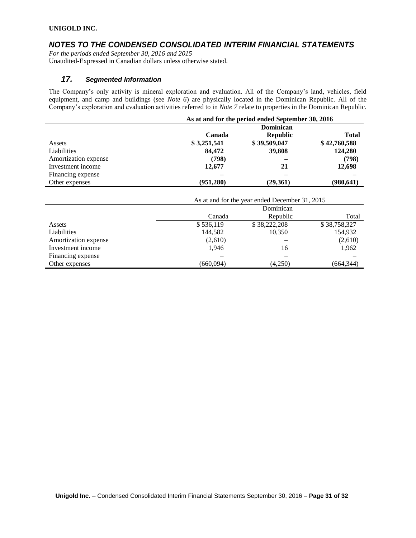### *NOTES TO THE CONDENSED CONSOLIDATED INTERIM FINANCIAL STATEMENTS*

*For the periods ended September 30, 2016 and 2015* Unaudited-Expressed in Canadian dollars unless otherwise stated.

### *17. Segmented Information*

The Company's only activity is mineral exploration and evaluation. All of the Company's land, vehicles, field equipment, and camp and buildings (see *Note 6*) are physically located in the Dominican Republic. All of the Company's exploration and evaluation activities referred to in *Note 7* relate to properties in the Dominican Republic.

|                      | As at and for the period ended September 30, 2016 |                 |              |  |  |
|----------------------|---------------------------------------------------|-----------------|--------------|--|--|
|                      | Dominican                                         |                 |              |  |  |
|                      | Canada                                            | <b>Republic</b> | <b>Total</b> |  |  |
| Assets               | \$3,251,541                                       | \$39,509,047    | \$42,760,588 |  |  |
| Liabilities          | 84,472                                            | 39,808          | 124,280      |  |  |
| Amortization expense | (798)                                             |                 | (798)        |  |  |
| Investment income    | 12,677                                            | 21              | 12,698       |  |  |
| Financing expense    |                                                   |                 |              |  |  |
| Other expenses       | (951, 280)                                        | (29,361)        | (980, 641)   |  |  |

|                      | As at and for the year ended December 31, 2015 |              |              |  |  |
|----------------------|------------------------------------------------|--------------|--------------|--|--|
|                      | Dominican                                      |              |              |  |  |
|                      | Canada                                         | Republic     | Total        |  |  |
| Assets               | \$536,119                                      | \$38,222,208 | \$38,758,327 |  |  |
| Liabilities          | 144,582                                        | 10,350       | 154,932      |  |  |
| Amortization expense | (2,610)                                        |              | (2,610)      |  |  |
| Investment income    | 1,946                                          | 16           | 1,962        |  |  |
| Financing expense    |                                                |              |              |  |  |
| Other expenses       | (660.094)                                      | (4,250)      | (664,344)    |  |  |